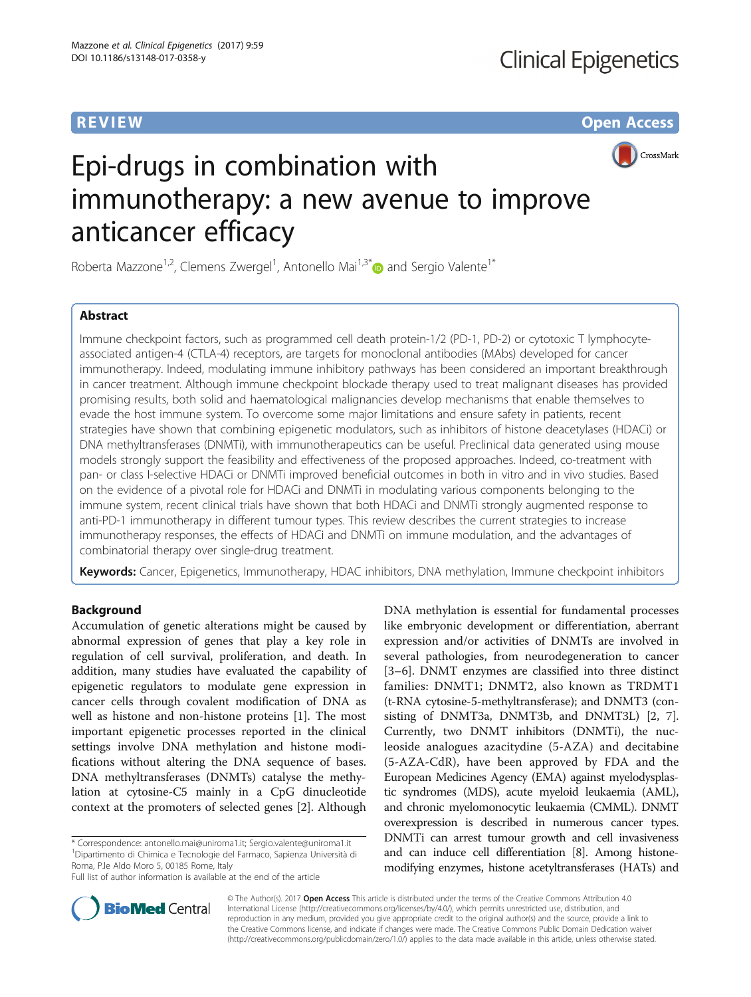**REVIEW CONTROL** CONTROL CONTROL CONTROL CONTROL CONTROL CONTROL CONTROL CONTROL CONTROL CONTROL CONTROL CONTROL CONTROL CONTROL CONTROL CONTROL CONTROL CONTROL CONTROL CONTROL CONTROL CONTROL CONTROL CONTROL CONTROL CONTR



# Epi-drugs in combination with immunotherapy: a new avenue to improve anticancer efficacy

Roberta Mazzone<sup>1,2</sup>, Clemens Zwergel<sup>1</sup>, Antonello Mai<sup>1,3[\\*](http://orcid.org/0000-0001-9176-2382)</sup> $\bullet$  and Sergio Valente<sup>1\*</sup>

## Abstract

Immune checkpoint factors, such as programmed cell death protein-1/2 (PD-1, PD-2) or cytotoxic T lymphocyteassociated antigen-4 (CTLA-4) receptors, are targets for monoclonal antibodies (MAbs) developed for cancer immunotherapy. Indeed, modulating immune inhibitory pathways has been considered an important breakthrough in cancer treatment. Although immune checkpoint blockade therapy used to treat malignant diseases has provided promising results, both solid and haematological malignancies develop mechanisms that enable themselves to evade the host immune system. To overcome some major limitations and ensure safety in patients, recent strategies have shown that combining epigenetic modulators, such as inhibitors of histone deacetylases (HDACi) or DNA methyltransferases (DNMTi), with immunotherapeutics can be useful. Preclinical data generated using mouse models strongly support the feasibility and effectiveness of the proposed approaches. Indeed, co-treatment with pan- or class I-selective HDACi or DNMTi improved beneficial outcomes in both in vitro and in vivo studies. Based on the evidence of a pivotal role for HDACi and DNMTi in modulating various components belonging to the immune system, recent clinical trials have shown that both HDACi and DNMTi strongly augmented response to anti-PD-1 immunotherapy in different tumour types. This review describes the current strategies to increase immunotherapy responses, the effects of HDACi and DNMTi on immune modulation, and the advantages of combinatorial therapy over single-drug treatment.

Keywords: Cancer, Epigenetics, Immunotherapy, HDAC inhibitors, DNA methylation, Immune checkpoint inhibitors

## Background

Accumulation of genetic alterations might be caused by abnormal expression of genes that play a key role in regulation of cell survival, proliferation, and death. In addition, many studies have evaluated the capability of epigenetic regulators to modulate gene expression in cancer cells through covalent modification of DNA as well as histone and non-histone proteins [[1\]](#page-12-0). The most important epigenetic processes reported in the clinical settings involve DNA methylation and histone modifications without altering the DNA sequence of bases. DNA methyltransferases (DNMTs) catalyse the methylation at cytosine-C5 mainly in a CpG dinucleotide context at the promoters of selected genes [[2\]](#page-12-0). Although

\* Correspondence: [antonello.mai@uniroma1.it](mailto:antonello.mai@uniroma1.it); [Sergio.valente@uniroma1.it](mailto:Sergio.valente@uniroma1.it) <sup>1</sup> Dipartimento di Chimica e Tecnologie del Farmaco, Sapienza Università di Roma, P.le Aldo Moro 5, 00185 Rome, Italy

Full list of author information is available at the end of the article

DNA methylation is essential for fundamental processes like embryonic development or differentiation, aberrant expression and/or activities of DNMTs are involved in several pathologies, from neurodegeneration to cancer [[3](#page-12-0)–[6\]](#page-12-0). DNMT enzymes are classified into three distinct families: DNMT1; DNMT2, also known as TRDMT1 (t-RNA cytosine-5-methyltransferase); and DNMT3 (consisting of DNMT3a, DNMT3b, and DNMT3L) [\[2, 7](#page-12-0)]. Currently, two DNMT inhibitors (DNMTi), the nucleoside analogues azacitydine (5-AZA) and decitabine (5-AZA-CdR), have been approved by FDA and the European Medicines Agency (EMA) against myelodysplastic syndromes (MDS), acute myeloid leukaemia (AML), and chronic myelomonocytic leukaemia (CMML). DNMT overexpression is described in numerous cancer types. DNMTi can arrest tumour growth and cell invasiveness and can induce cell differentiation [[8\]](#page-12-0). Among histonemodifying enzymes, histone acetyltransferases (HATs) and



© The Author(s). 2017 **Open Access** This article is distributed under the terms of the Creative Commons Attribution 4.0 International License [\(http://creativecommons.org/licenses/by/4.0/](http://creativecommons.org/licenses/by/4.0/)), which permits unrestricted use, distribution, and reproduction in any medium, provided you give appropriate credit to the original author(s) and the source, provide a link to the Creative Commons license, and indicate if changes were made. The Creative Commons Public Domain Dedication waiver [\(http://creativecommons.org/publicdomain/zero/1.0/](http://creativecommons.org/publicdomain/zero/1.0/)) applies to the data made available in this article, unless otherwise stated.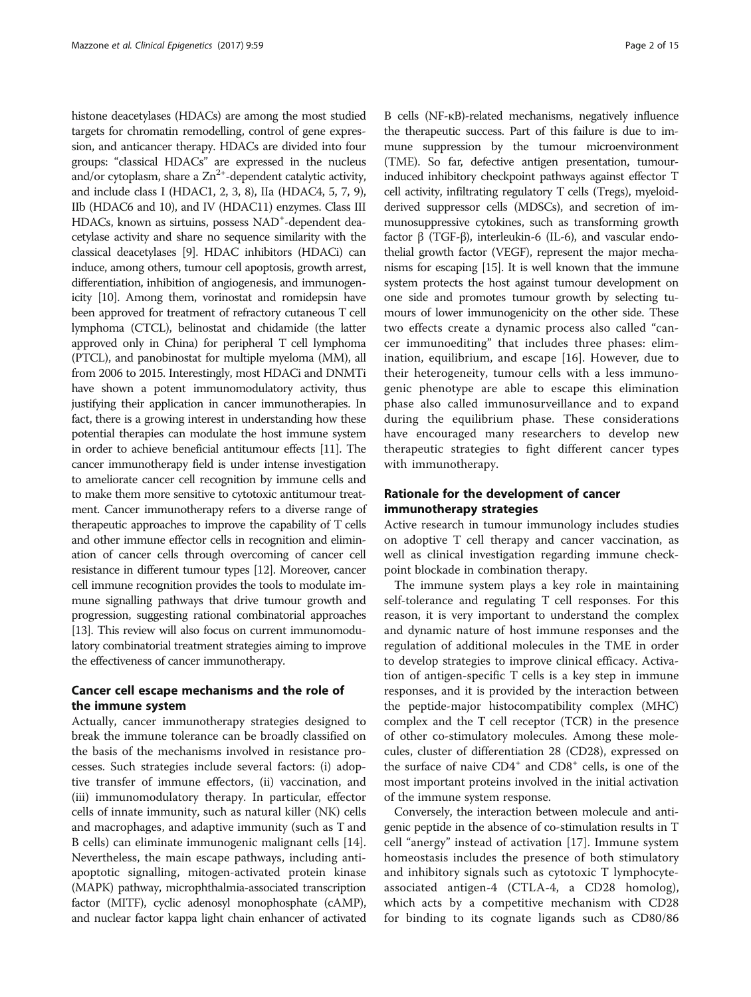histone deacetylases (HDACs) are among the most studied targets for chromatin remodelling, control of gene expression, and anticancer therapy. HDACs are divided into four groups: "classical HDACs" are expressed in the nucleus and/or cytoplasm, share a  $Zn^{2+}$ -dependent catalytic activity, and include class I (HDAC1, 2, 3, 8), IIa (HDAC4, 5, 7, 9), IIb (HDAC6 and 10), and IV (HDAC11) enzymes. Class III HDACs, known as sirtuins, possess NAD<sup>+</sup>-dependent deacetylase activity and share no sequence similarity with the classical deacetylases [[9](#page-12-0)]. HDAC inhibitors (HDACi) can induce, among others, tumour cell apoptosis, growth arrest, differentiation, inhibition of angiogenesis, and immunogenicity [[10\]](#page-12-0). Among them, vorinostat and romidepsin have been approved for treatment of refractory cutaneous T cell lymphoma (CTCL), belinostat and chidamide (the latter approved only in China) for peripheral T cell lymphoma (PTCL), and panobinostat for multiple myeloma (MM), all from 2006 to 2015. Interestingly, most HDACi and DNMTi have shown a potent immunomodulatory activity, thus justifying their application in cancer immunotherapies. In fact, there is a growing interest in understanding how these potential therapies can modulate the host immune system in order to achieve beneficial antitumour effects [[11](#page-12-0)]. The cancer immunotherapy field is under intense investigation to ameliorate cancer cell recognition by immune cells and to make them more sensitive to cytotoxic antitumour treatment. Cancer immunotherapy refers to a diverse range of therapeutic approaches to improve the capability of T cells and other immune effector cells in recognition and elimination of cancer cells through overcoming of cancer cell resistance in different tumour types [\[12\]](#page-12-0). Moreover, cancer cell immune recognition provides the tools to modulate immune signalling pathways that drive tumour growth and progression, suggesting rational combinatorial approaches [[13](#page-12-0)]. This review will also focus on current immunomodulatory combinatorial treatment strategies aiming to improve the effectiveness of cancer immunotherapy.

## Cancer cell escape mechanisms and the role of the immune system

Actually, cancer immunotherapy strategies designed to break the immune tolerance can be broadly classified on the basis of the mechanisms involved in resistance processes. Such strategies include several factors: (i) adoptive transfer of immune effectors, (ii) vaccination, and (iii) immunomodulatory therapy. In particular, effector cells of innate immunity, such as natural killer (NK) cells and macrophages, and adaptive immunity (such as T and B cells) can eliminate immunogenic malignant cells [\[14](#page-12-0)]. Nevertheless, the main escape pathways, including antiapoptotic signalling, mitogen-activated protein kinase (MAPK) pathway, microphthalmia-associated transcription factor (MITF), cyclic adenosyl monophosphate (cAMP), and nuclear factor kappa light chain enhancer of activated

B cells (NF-κB)-related mechanisms, negatively influence the therapeutic success. Part of this failure is due to immune suppression by the tumour microenvironment (TME). So far, defective antigen presentation, tumourinduced inhibitory checkpoint pathways against effector T cell activity, infiltrating regulatory T cells (Tregs), myeloidderived suppressor cells (MDSCs), and secretion of immunosuppressive cytokines, such as transforming growth factor β (TGF-β), interleukin-6 (IL-6), and vascular endothelial growth factor (VEGF), represent the major mechanisms for escaping [\[15\]](#page-12-0). It is well known that the immune system protects the host against tumour development on one side and promotes tumour growth by selecting tumours of lower immunogenicity on the other side. These two effects create a dynamic process also called "cancer immunoediting" that includes three phases: elimination, equilibrium, and escape [[16\]](#page-12-0). However, due to their heterogeneity, tumour cells with a less immunogenic phenotype are able to escape this elimination phase also called immunosurveillance and to expand during the equilibrium phase. These considerations have encouraged many researchers to develop new therapeutic strategies to fight different cancer types with immunotherapy.

## Rationale for the development of cancer immunotherapy strategies

Active research in tumour immunology includes studies on adoptive T cell therapy and cancer vaccination, as well as clinical investigation regarding immune checkpoint blockade in combination therapy.

The immune system plays a key role in maintaining self-tolerance and regulating T cell responses. For this reason, it is very important to understand the complex and dynamic nature of host immune responses and the regulation of additional molecules in the TME in order to develop strategies to improve clinical efficacy. Activation of antigen-specific T cells is a key step in immune responses, and it is provided by the interaction between the peptide-major histocompatibility complex (MHC) complex and the T cell receptor (TCR) in the presence of other co-stimulatory molecules. Among these molecules, cluster of differentiation 28 (CD28), expressed on the surface of naive  $CD4^+$  and  $CD8^+$  cells, is one of the most important proteins involved in the initial activation of the immune system response.

Conversely, the interaction between molecule and antigenic peptide in the absence of co-stimulation results in T cell "anergy" instead of activation [[17\]](#page-12-0). Immune system homeostasis includes the presence of both stimulatory and inhibitory signals such as cytotoxic T lymphocyteassociated antigen-4 (CTLA-4, a CD28 homolog), which acts by a competitive mechanism with CD28 for binding to its cognate ligands such as CD80/86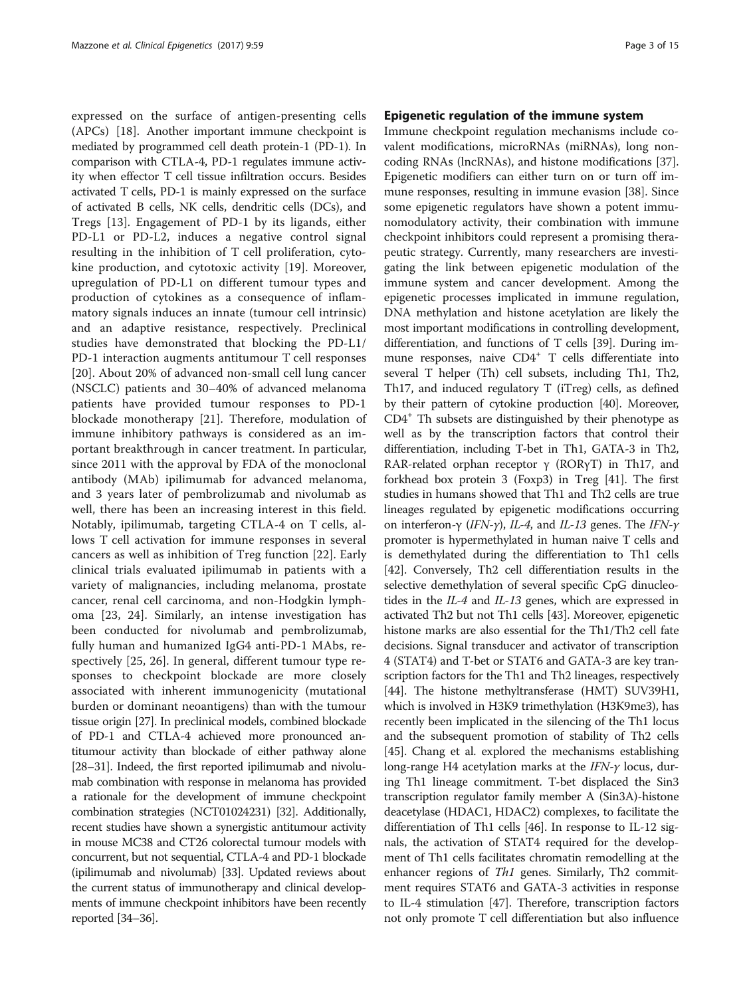expressed on the surface of antigen-presenting cells (APCs) [\[18](#page-12-0)]. Another important immune checkpoint is mediated by programmed cell death protein-1 (PD-1). In comparison with CTLA-4, PD-1 regulates immune activity when effector T cell tissue infiltration occurs. Besides activated T cells, PD-1 is mainly expressed on the surface of activated B cells, NK cells, dendritic cells (DCs), and Tregs [[13\]](#page-12-0). Engagement of PD-1 by its ligands, either PD-L1 or PD-L2, induces a negative control signal resulting in the inhibition of T cell proliferation, cytokine production, and cytotoxic activity [[19\]](#page-12-0). Moreover, upregulation of PD-L1 on different tumour types and production of cytokines as a consequence of inflammatory signals induces an innate (tumour cell intrinsic) and an adaptive resistance, respectively. Preclinical studies have demonstrated that blocking the PD-L1/ PD-1 interaction augments antitumour T cell responses [[20\]](#page-12-0). About 20% of advanced non-small cell lung cancer (NSCLC) patients and 30–40% of advanced melanoma patients have provided tumour responses to PD-1 blockade monotherapy [[21\]](#page-12-0). Therefore, modulation of immune inhibitory pathways is considered as an important breakthrough in cancer treatment. In particular, since 2011 with the approval by FDA of the monoclonal antibody (MAb) ipilimumab for advanced melanoma, and 3 years later of pembrolizumab and nivolumab as well, there has been an increasing interest in this field. Notably, ipilimumab, targeting CTLA-4 on T cells, allows T cell activation for immune responses in several cancers as well as inhibition of Treg function [\[22](#page-12-0)]. Early clinical trials evaluated ipilimumab in patients with a variety of malignancies, including melanoma, prostate cancer, renal cell carcinoma, and non-Hodgkin lymphoma [[23, 24](#page-12-0)]. Similarly, an intense investigation has been conducted for nivolumab and pembrolizumab, fully human and humanized IgG4 anti-PD-1 MAbs, respectively [\[25](#page-12-0), [26\]](#page-12-0). In general, different tumour type responses to checkpoint blockade are more closely associated with inherent immunogenicity (mutational burden or dominant neoantigens) than with the tumour tissue origin [\[27](#page-12-0)]. In preclinical models, combined blockade of PD-1 and CTLA-4 achieved more pronounced antitumour activity than blockade of either pathway alone [[28](#page-12-0)–[31](#page-12-0)]. Indeed, the first reported ipilimumab and nivolumab combination with response in melanoma has provided a rationale for the development of immune checkpoint combination strategies (NCT01024231) [\[32](#page-12-0)]. Additionally, recent studies have shown a synergistic antitumour activity in mouse MC38 and CT26 colorectal tumour models with concurrent, but not sequential, CTLA-4 and PD-1 blockade (ipilimumab and nivolumab) [\[33](#page-12-0)]. Updated reviews about the current status of immunotherapy and clinical developments of immune checkpoint inhibitors have been recently reported [[34](#page-12-0)–[36](#page-12-0)].

## Epigenetic regulation of the immune system

Immune checkpoint regulation mechanisms include covalent modifications, microRNAs (miRNAs), long noncoding RNAs (lncRNAs), and histone modifications [\[37](#page-12-0)]. Epigenetic modifiers can either turn on or turn off immune responses, resulting in immune evasion [[38\]](#page-12-0). Since some epigenetic regulators have shown a potent immunomodulatory activity, their combination with immune checkpoint inhibitors could represent a promising therapeutic strategy. Currently, many researchers are investigating the link between epigenetic modulation of the immune system and cancer development. Among the epigenetic processes implicated in immune regulation, DNA methylation and histone acetylation are likely the most important modifications in controlling development, differentiation, and functions of T cells [\[39\]](#page-12-0). During immune responses, naive CD4<sup>+</sup> T cells differentiate into several T helper (Th) cell subsets, including Th1, Th2, Th17, and induced regulatory T (iTreg) cells, as defined by their pattern of cytokine production [\[40](#page-12-0)]. Moreover, CD4+ Th subsets are distinguished by their phenotype as well as by the transcription factors that control their differentiation, including T-bet in Th1, GATA-3 in Th2, RAR-related orphan receptor γ (RORγT) in Th17, and forkhead box protein 3 (Foxp3) in Treg [[41](#page-12-0)]. The first studies in humans showed that Th1 and Th2 cells are true lineages regulated by epigenetic modifications occurring on interferon-γ (IFN-γ), IL-4, and IL-13 genes. The IFN-γ promoter is hypermethylated in human naive T cells and is demethylated during the differentiation to Th1 cells [[42](#page-12-0)]. Conversely, Th2 cell differentiation results in the selective demethylation of several specific CpG dinucleotides in the IL-4 and IL-13 genes, which are expressed in activated Th2 but not Th1 cells [\[43\]](#page-12-0). Moreover, epigenetic histone marks are also essential for the Th1/Th2 cell fate decisions. Signal transducer and activator of transcription 4 (STAT4) and T-bet or STAT6 and GATA-3 are key transcription factors for the Th1 and Th2 lineages, respectively [[44](#page-12-0)]. The histone methyltransferase (HMT) SUV39H1, which is involved in H3K9 trimethylation (H3K9me3), has recently been implicated in the silencing of the Th1 locus and the subsequent promotion of stability of Th2 cells [[45](#page-12-0)]. Chang et al. explored the mechanisms establishing long-range H4 acetylation marks at the  $IFN-\gamma$  locus, during Th1 lineage commitment. T-bet displaced the Sin3 transcription regulator family member A (Sin3A)-histone deacetylase (HDAC1, HDAC2) complexes, to facilitate the differentiation of Th1 cells [\[46\]](#page-12-0). In response to IL-12 signals, the activation of STAT4 required for the development of Th1 cells facilitates chromatin remodelling at the enhancer regions of *Th1* genes. Similarly, Th2 commitment requires STAT6 and GATA-3 activities in response to IL-4 stimulation [\[47\]](#page-12-0). Therefore, transcription factors not only promote T cell differentiation but also influence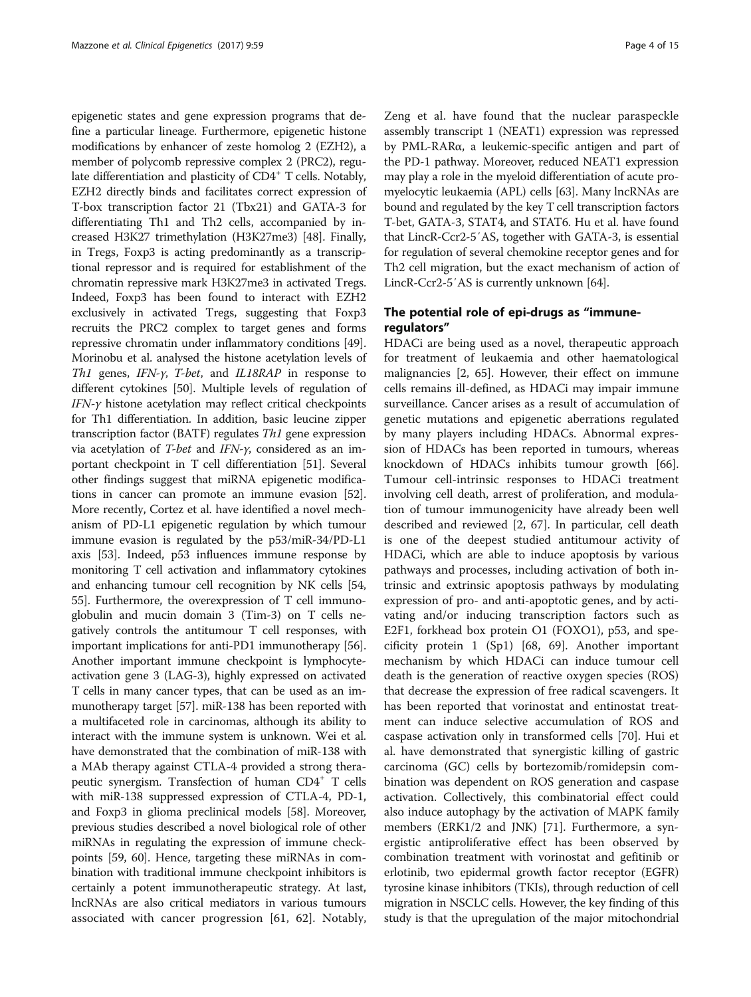epigenetic states and gene expression programs that define a particular lineage. Furthermore, epigenetic histone modifications by enhancer of zeste homolog 2 (EZH2), a member of polycomb repressive complex 2 (PRC2), regulate differentiation and plasticity of CD4<sup>+</sup> T cells. Notably, EZH2 directly binds and facilitates correct expression of T-box transcription factor 21 (Tbx21) and GATA-3 for differentiating Th1 and Th2 cells, accompanied by increased H3K27 trimethylation (H3K27me3) [\[48\]](#page-12-0). Finally, in Tregs, Foxp3 is acting predominantly as a transcriptional repressor and is required for establishment of the chromatin repressive mark H3K27me3 in activated Tregs. Indeed, Foxp3 has been found to interact with EZH2 exclusively in activated Tregs, suggesting that Foxp3 recruits the PRC2 complex to target genes and forms repressive chromatin under inflammatory conditions [[49](#page-12-0)]. Morinobu et al. analysed the histone acetylation levels of Th1 genes, IFN-γ, T-bet, and IL18RAP in response to different cytokines [\[50\]](#page-12-0). Multiple levels of regulation of IFN-γ histone acetylation may reflect critical checkpoints for Th1 differentiation. In addition, basic leucine zipper transcription factor (BATF) regulates Th1 gene expression via acetylation of T-bet and IFN-γ, considered as an important checkpoint in T cell differentiation [[51\]](#page-12-0). Several other findings suggest that miRNA epigenetic modifications in cancer can promote an immune evasion [[52](#page-13-0)]. More recently, Cortez et al. have identified a novel mechanism of PD-L1 epigenetic regulation by which tumour immune evasion is regulated by the p53/miR-34/PD-L1 axis [[53](#page-13-0)]. Indeed, p53 influences immune response by monitoring T cell activation and inflammatory cytokines and enhancing tumour cell recognition by NK cells [[54](#page-13-0), [55](#page-13-0)]. Furthermore, the overexpression of T cell immunoglobulin and mucin domain 3 (Tim-3) on T cells negatively controls the antitumour T cell responses, with important implications for anti-PD1 immunotherapy [[56](#page-13-0)]. Another important immune checkpoint is lymphocyteactivation gene 3 (LAG-3), highly expressed on activated T cells in many cancer types, that can be used as an immunotherapy target [\[57](#page-13-0)]. miR-138 has been reported with a multifaceted role in carcinomas, although its ability to interact with the immune system is unknown. Wei et al. have demonstrated that the combination of miR-138 with a MAb therapy against CTLA-4 provided a strong therapeutic synergism. Transfection of human CD4<sup>+</sup> T cells with miR-138 suppressed expression of CTLA-4, PD-1, and Foxp3 in glioma preclinical models [[58](#page-13-0)]. Moreover, previous studies described a novel biological role of other miRNAs in regulating the expression of immune checkpoints [[59](#page-13-0), [60](#page-13-0)]. Hence, targeting these miRNAs in combination with traditional immune checkpoint inhibitors is certainly a potent immunotherapeutic strategy. At last, lncRNAs are also critical mediators in various tumours associated with cancer progression [\[61](#page-13-0), [62\]](#page-13-0). Notably,

Zeng et al. have found that the nuclear paraspeckle assembly transcript 1 (NEAT1) expression was repressed by PML-RARα, a leukemic-specific antigen and part of the PD-1 pathway. Moreover, reduced NEAT1 expression may play a role in the myeloid differentiation of acute promyelocytic leukaemia (APL) cells [[63](#page-13-0)]. Many lncRNAs are bound and regulated by the key T cell transcription factors T-bet, GATA-3, STAT4, and STAT6. Hu et al. have found that LincR-Ccr2-5′AS, together with GATA-3, is essential for regulation of several chemokine receptor genes and for Th2 cell migration, but the exact mechanism of action of LincR-Ccr2-5<sup>'</sup>AS is currently unknown [[64](#page-13-0)].

## The potential role of epi-drugs as "immuneregulators"

HDACi are being used as a novel, therapeutic approach for treatment of leukaemia and other haematological malignancies [\[2](#page-12-0), [65\]](#page-13-0). However, their effect on immune cells remains ill-defined, as HDACi may impair immune surveillance. Cancer arises as a result of accumulation of genetic mutations and epigenetic aberrations regulated by many players including HDACs. Abnormal expression of HDACs has been reported in tumours, whereas knockdown of HDACs inhibits tumour growth [\[66](#page-13-0)]. Tumour cell-intrinsic responses to HDACi treatment involving cell death, arrest of proliferation, and modulation of tumour immunogenicity have already been well described and reviewed [\[2,](#page-12-0) [67](#page-13-0)]. In particular, cell death is one of the deepest studied antitumour activity of HDACi, which are able to induce apoptosis by various pathways and processes, including activation of both intrinsic and extrinsic apoptosis pathways by modulating expression of pro- and anti-apoptotic genes, and by activating and/or inducing transcription factors such as E2F1, forkhead box protein O1 (FOXO1), p53, and specificity protein 1 (Sp1) [[68, 69](#page-13-0)]. Another important mechanism by which HDACi can induce tumour cell death is the generation of reactive oxygen species (ROS) that decrease the expression of free radical scavengers. It has been reported that vorinostat and entinostat treatment can induce selective accumulation of ROS and caspase activation only in transformed cells [\[70\]](#page-13-0). Hui et al. have demonstrated that synergistic killing of gastric carcinoma (GC) cells by bortezomib/romidepsin combination was dependent on ROS generation and caspase activation. Collectively, this combinatorial effect could also induce autophagy by the activation of MAPK family members (ERK1/2 and JNK) [[71\]](#page-13-0). Furthermore, a synergistic antiproliferative effect has been observed by combination treatment with vorinostat and gefitinib or erlotinib, two epidermal growth factor receptor (EGFR) tyrosine kinase inhibitors (TKIs), through reduction of cell migration in NSCLC cells. However, the key finding of this study is that the upregulation of the major mitochondrial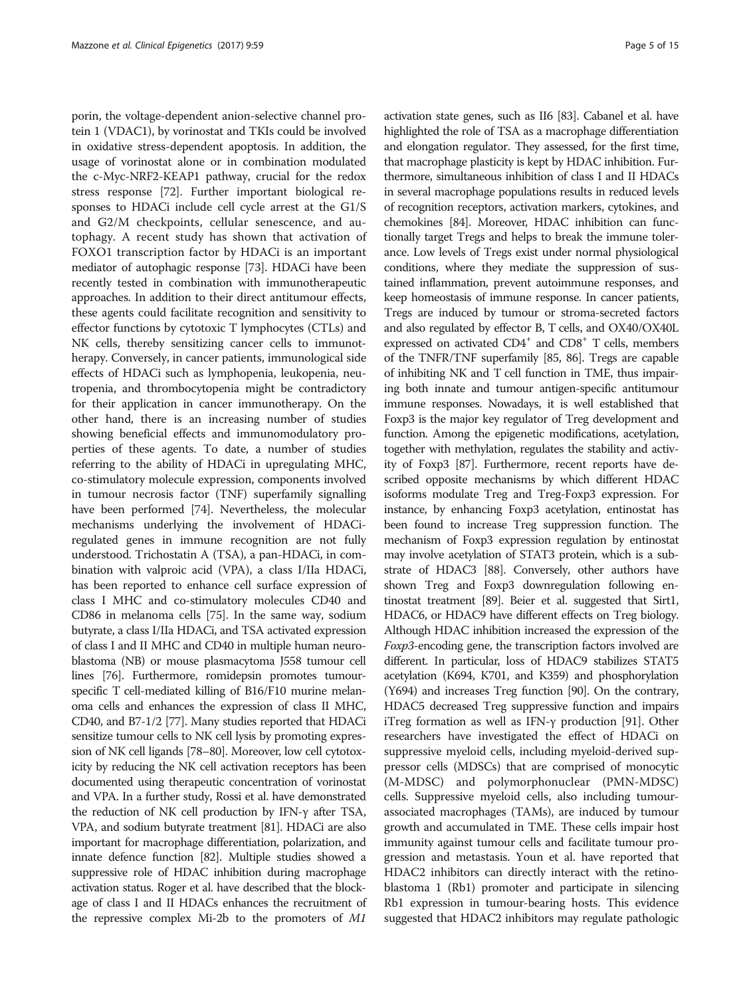porin, the voltage-dependent anion-selective channel protein 1 (VDAC1), by vorinostat and TKIs could be involved in oxidative stress-dependent apoptosis. In addition, the usage of vorinostat alone or in combination modulated the c-Myc-NRF2-KEAP1 pathway, crucial for the redox stress response [\[72\]](#page-13-0). Further important biological responses to HDACi include cell cycle arrest at the G1/S and G2/M checkpoints, cellular senescence, and autophagy. A recent study has shown that activation of FOXO1 transcription factor by HDACi is an important mediator of autophagic response [\[73\]](#page-13-0). HDACi have been recently tested in combination with immunotherapeutic approaches. In addition to their direct antitumour effects, these agents could facilitate recognition and sensitivity to effector functions by cytotoxic T lymphocytes (CTLs) and NK cells, thereby sensitizing cancer cells to immunotherapy. Conversely, in cancer patients, immunological side effects of HDACi such as lymphopenia, leukopenia, neutropenia, and thrombocytopenia might be contradictory for their application in cancer immunotherapy. On the other hand, there is an increasing number of studies showing beneficial effects and immunomodulatory properties of these agents. To date, a number of studies referring to the ability of HDACi in upregulating MHC, co-stimulatory molecule expression, components involved in tumour necrosis factor (TNF) superfamily signalling have been performed [\[74](#page-13-0)]. Nevertheless, the molecular mechanisms underlying the involvement of HDACiregulated genes in immune recognition are not fully understood. Trichostatin A (TSA), a pan-HDACi, in combination with valproic acid (VPA), a class I/IIa HDACi, has been reported to enhance cell surface expression of class I MHC and co-stimulatory molecules CD40 and CD86 in melanoma cells [[75](#page-13-0)]. In the same way, sodium butyrate, a class I/IIa HDACi, and TSA activated expression of class I and II MHC and CD40 in multiple human neuroblastoma (NB) or mouse plasmacytoma J558 tumour cell lines [\[76](#page-13-0)]. Furthermore, romidepsin promotes tumourspecific T cell-mediated killing of B16/F10 murine melanoma cells and enhances the expression of class II MHC, CD40, and B7-1/2 [\[77](#page-13-0)]. Many studies reported that HDACi sensitize tumour cells to NK cell lysis by promoting expression of NK cell ligands [\[78](#page-13-0)–[80\]](#page-13-0). Moreover, low cell cytotoxicity by reducing the NK cell activation receptors has been documented using therapeutic concentration of vorinostat and VPA. In a further study, Rossi et al. have demonstrated the reduction of NK cell production by IFN-γ after TSA, VPA, and sodium butyrate treatment [[81](#page-13-0)]. HDACi are also important for macrophage differentiation, polarization, and innate defence function [[82](#page-13-0)]. Multiple studies showed a suppressive role of HDAC inhibition during macrophage activation status. Roger et al. have described that the blockage of class I and II HDACs enhances the recruitment of the repressive complex Mi-2b to the promoters of M1

activation state genes, such as II6 [\[83\]](#page-13-0). Cabanel et al. have highlighted the role of TSA as a macrophage differentiation and elongation regulator. They assessed, for the first time, that macrophage plasticity is kept by HDAC inhibition. Furthermore, simultaneous inhibition of class I and II HDACs in several macrophage populations results in reduced levels of recognition receptors, activation markers, cytokines, and chemokines [\[84\]](#page-13-0). Moreover, HDAC inhibition can functionally target Tregs and helps to break the immune tolerance. Low levels of Tregs exist under normal physiological conditions, where they mediate the suppression of sustained inflammation, prevent autoimmune responses, and keep homeostasis of immune response. In cancer patients, Tregs are induced by tumour or stroma-secreted factors and also regulated by effector B, T cells, and OX40/OX40L expressed on activated CD4<sup>+</sup> and CD8<sup>+</sup> T cells, members of the TNFR/TNF superfamily [\[85](#page-13-0), [86\]](#page-13-0). Tregs are capable of inhibiting NK and T cell function in TME, thus impairing both innate and tumour antigen-specific antitumour immune responses. Nowadays, it is well established that Foxp3 is the major key regulator of Treg development and function. Among the epigenetic modifications, acetylation, together with methylation, regulates the stability and activity of Foxp3 [\[87\]](#page-13-0). Furthermore, recent reports have described opposite mechanisms by which different HDAC isoforms modulate Treg and Treg-Foxp3 expression. For instance, by enhancing Foxp3 acetylation, entinostat has been found to increase Treg suppression function. The mechanism of Foxp3 expression regulation by entinostat may involve acetylation of STAT3 protein, which is a substrate of HDAC3 [\[88](#page-13-0)]. Conversely, other authors have shown Treg and Foxp3 downregulation following entinostat treatment [\[89\]](#page-13-0). Beier et al. suggested that Sirt1, HDAC6, or HDAC9 have different effects on Treg biology. Although HDAC inhibition increased the expression of the Foxp3-encoding gene, the transcription factors involved are different. In particular, loss of HDAC9 stabilizes STAT5 acetylation (K694, K701, and K359) and phosphorylation (Y694) and increases Treg function [\[90\]](#page-13-0). On the contrary, HDAC5 decreased Treg suppressive function and impairs iTreg formation as well as IFN-γ production [\[91\]](#page-13-0). Other researchers have investigated the effect of HDACi on suppressive myeloid cells, including myeloid-derived suppressor cells (MDSCs) that are comprised of monocytic (M-MDSC) and polymorphonuclear (PMN-MDSC) cells. Suppressive myeloid cells, also including tumourassociated macrophages (TAMs), are induced by tumour growth and accumulated in TME. These cells impair host immunity against tumour cells and facilitate tumour progression and metastasis. Youn et al. have reported that HDAC2 inhibitors can directly interact with the retinoblastoma 1 (Rb1) promoter and participate in silencing Rb1 expression in tumour-bearing hosts. This evidence suggested that HDAC2 inhibitors may regulate pathologic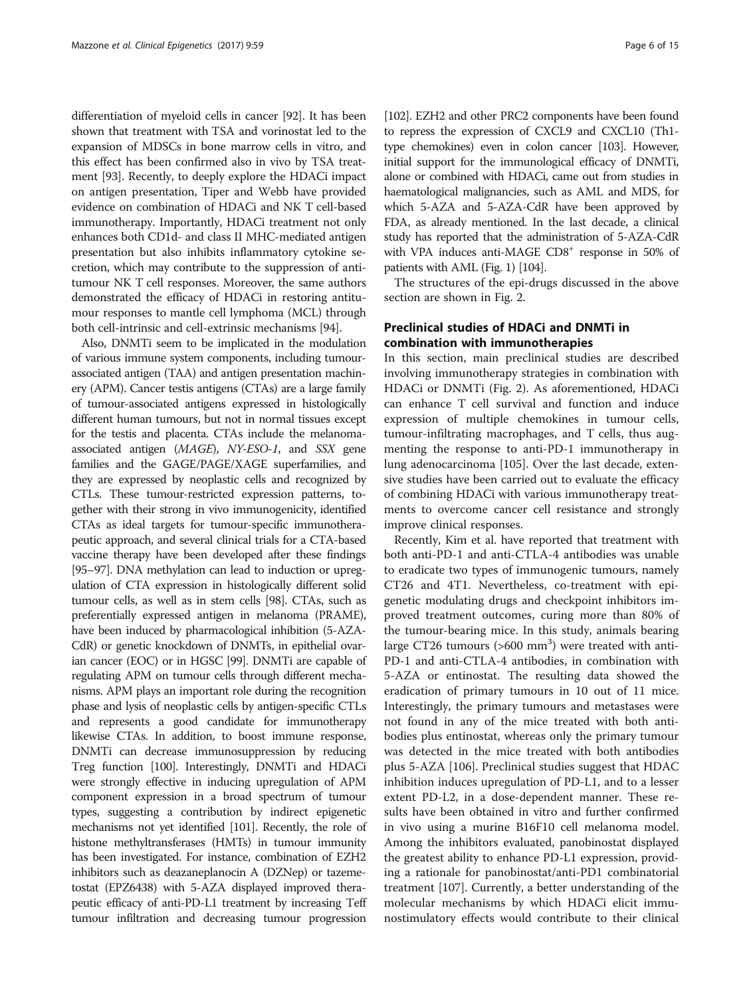differentiation of myeloid cells in cancer [\[92\]](#page-13-0). It has been shown that treatment with TSA and vorinostat led to the expansion of MDSCs in bone marrow cells in vitro, and this effect has been confirmed also in vivo by TSA treatment [[93](#page-13-0)]. Recently, to deeply explore the HDACi impact on antigen presentation, Tiper and Webb have provided evidence on combination of HDACi and NK T cell-based immunotherapy. Importantly, HDACi treatment not only enhances both CD1d- and class II MHC-mediated antigen presentation but also inhibits inflammatory cytokine secretion, which may contribute to the suppression of antitumour NK T cell responses. Moreover, the same authors demonstrated the efficacy of HDACi in restoring antitumour responses to mantle cell lymphoma (MCL) through both cell-intrinsic and cell-extrinsic mechanisms [\[94](#page-13-0)].

Also, DNMTi seem to be implicated in the modulation of various immune system components, including tumourassociated antigen (TAA) and antigen presentation machinery (APM). Cancer testis antigens (CTAs) are a large family of tumour-associated antigens expressed in histologically different human tumours, but not in normal tissues except for the testis and placenta. CTAs include the melanomaassociated antigen (MAGE), NY-ESO-1, and SSX gene families and the GAGE/PAGE/XAGE superfamilies, and they are expressed by neoplastic cells and recognized by CTLs. These tumour-restricted expression patterns, together with their strong in vivo immunogenicity, identified CTAs as ideal targets for tumour-specific immunotherapeutic approach, and several clinical trials for a CTA-based vaccine therapy have been developed after these findings [[95](#page-13-0)–[97](#page-14-0)]. DNA methylation can lead to induction or upregulation of CTA expression in histologically different solid tumour cells, as well as in stem cells [\[98\]](#page-14-0). CTAs, such as preferentially expressed antigen in melanoma (PRAME), have been induced by pharmacological inhibition (5-AZA-CdR) or genetic knockdown of DNMTs, in epithelial ovarian cancer (EOC) or in HGSC [[99](#page-14-0)]. DNMTi are capable of regulating APM on tumour cells through different mechanisms. APM plays an important role during the recognition phase and lysis of neoplastic cells by antigen-specific CTLs and represents a good candidate for immunotherapy likewise CTAs. In addition, to boost immune response, DNMTi can decrease immunosuppression by reducing Treg function [\[100](#page-14-0)]. Interestingly, DNMTi and HDACi were strongly effective in inducing upregulation of APM component expression in a broad spectrum of tumour types, suggesting a contribution by indirect epigenetic mechanisms not yet identified [\[101](#page-14-0)]. Recently, the role of histone methyltransferases (HMTs) in tumour immunity has been investigated. For instance, combination of EZH2 inhibitors such as deazaneplanocin A (DZNep) or tazemetostat (EPZ6438) with 5-AZA displayed improved therapeutic efficacy of anti-PD-L1 treatment by increasing Teff tumour infiltration and decreasing tumour progression

[[102\]](#page-14-0). EZH2 and other PRC2 components have been found to repress the expression of CXCL9 and CXCL10 (Th1 type chemokines) even in colon cancer [[103\]](#page-14-0). However, initial support for the immunological efficacy of DNMTi, alone or combined with HDACi, came out from studies in haematological malignancies, such as AML and MDS, for which 5-AZA and 5-AZA-CdR have been approved by FDA, as already mentioned. In the last decade, a clinical study has reported that the administration of 5-AZA-CdR with VPA induces anti-MAGE CD8<sup>+</sup> response in 50% of patients with AML (Fig. [1\)](#page-6-0) [\[104\]](#page-14-0).

The structures of the epi-drugs discussed in the above section are shown in Fig. [2.](#page-7-0)

## Preclinical studies of HDACi and DNMTi in combination with immunotherapies

In this section, main preclinical studies are described involving immunotherapy strategies in combination with HDACi or DNMTi (Fig. [2](#page-7-0)). As aforementioned, HDACi can enhance T cell survival and function and induce expression of multiple chemokines in tumour cells, tumour-infiltrating macrophages, and T cells, thus augmenting the response to anti-PD-1 immunotherapy in lung adenocarcinoma [\[105](#page-14-0)]. Over the last decade, extensive studies have been carried out to evaluate the efficacy of combining HDACi with various immunotherapy treatments to overcome cancer cell resistance and strongly improve clinical responses.

Recently, Kim et al. have reported that treatment with both anti-PD-1 and anti-CTLA-4 antibodies was unable to eradicate two types of immunogenic tumours, namely CT26 and 4T1. Nevertheless, co-treatment with epigenetic modulating drugs and checkpoint inhibitors improved treatment outcomes, curing more than 80% of the tumour-bearing mice. In this study, animals bearing large CT26 tumours (>600 mm<sup>3</sup>) were treated with anti-PD-1 and anti-CTLA-4 antibodies, in combination with 5-AZA or entinostat. The resulting data showed the eradication of primary tumours in 10 out of 11 mice. Interestingly, the primary tumours and metastases were not found in any of the mice treated with both antibodies plus entinostat, whereas only the primary tumour was detected in the mice treated with both antibodies plus 5-AZA [\[106](#page-14-0)]. Preclinical studies suggest that HDAC inhibition induces upregulation of PD-L1, and to a lesser extent PD-L2, in a dose-dependent manner. These results have been obtained in vitro and further confirmed in vivo using a murine B16F10 cell melanoma model. Among the inhibitors evaluated, panobinostat displayed the greatest ability to enhance PD-L1 expression, providing a rationale for panobinostat/anti-PD1 combinatorial treatment [[107\]](#page-14-0). Currently, a better understanding of the molecular mechanisms by which HDACi elicit immunostimulatory effects would contribute to their clinical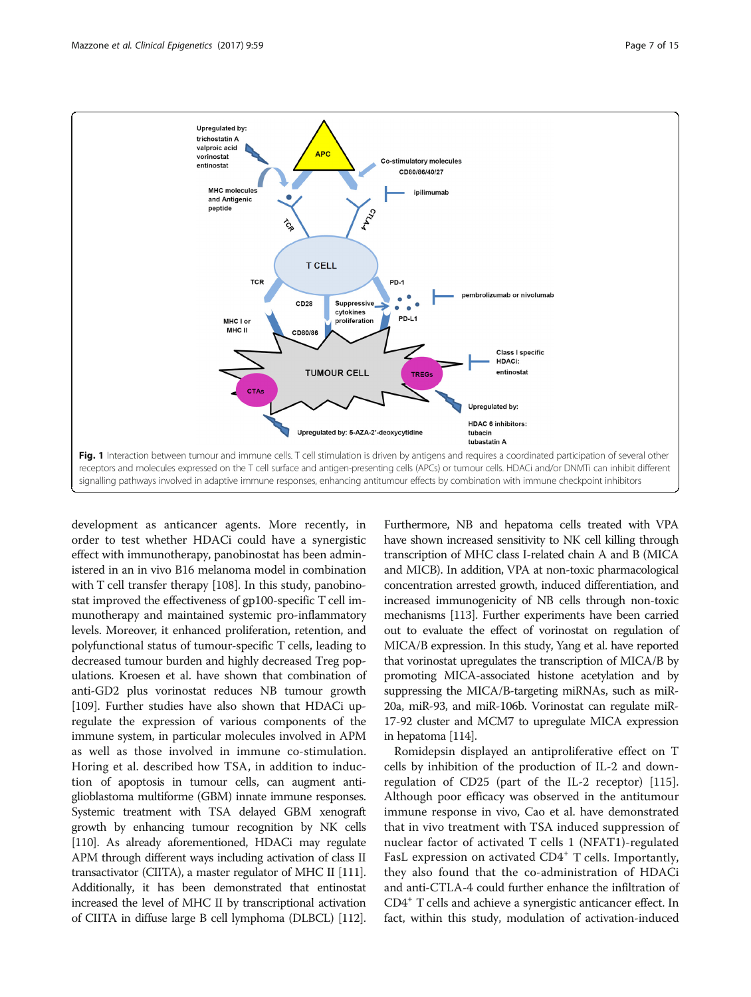<span id="page-6-0"></span>

development as anticancer agents. More recently, in order to test whether HDACi could have a synergistic effect with immunotherapy, panobinostat has been administered in an in vivo B16 melanoma model in combination with T cell transfer therapy [\[108\]](#page-14-0). In this study, panobinostat improved the effectiveness of gp100-specific T cell immunotherapy and maintained systemic pro-inflammatory levels. Moreover, it enhanced proliferation, retention, and polyfunctional status of tumour-specific T cells, leading to decreased tumour burden and highly decreased Treg populations. Kroesen et al. have shown that combination of anti-GD2 plus vorinostat reduces NB tumour growth [[109](#page-14-0)]. Further studies have also shown that HDACi upregulate the expression of various components of the immune system, in particular molecules involved in APM as well as those involved in immune co-stimulation. Horing et al. described how TSA, in addition to induction of apoptosis in tumour cells, can augment antiglioblastoma multiforme (GBM) innate immune responses. Systemic treatment with TSA delayed GBM xenograft growth by enhancing tumour recognition by NK cells [[110\]](#page-14-0). As already aforementioned, HDACi may regulate APM through different ways including activation of class II transactivator (CIITA), a master regulator of MHC II [\[111](#page-14-0)]. Additionally, it has been demonstrated that entinostat increased the level of MHC II by transcriptional activation of CIITA in diffuse large B cell lymphoma (DLBCL) [\[112](#page-14-0)].

Furthermore, NB and hepatoma cells treated with VPA have shown increased sensitivity to NK cell killing through transcription of MHC class I-related chain A and B (MICA and MICB). In addition, VPA at non-toxic pharmacological concentration arrested growth, induced differentiation, and increased immunogenicity of NB cells through non-toxic mechanisms [\[113](#page-14-0)]. Further experiments have been carried out to evaluate the effect of vorinostat on regulation of MICA/B expression. In this study, Yang et al. have reported that vorinostat upregulates the transcription of MICA/B by promoting MICA-associated histone acetylation and by suppressing the MICA/B-targeting miRNAs, such as miR-20a, miR-93, and miR-106b. Vorinostat can regulate miR-17-92 cluster and MCM7 to upregulate MICA expression in hepatoma [\[114](#page-14-0)].

Romidepsin displayed an antiproliferative effect on T cells by inhibition of the production of IL-2 and downregulation of CD25 (part of the IL-2 receptor) [[115](#page-14-0)]. Although poor efficacy was observed in the antitumour immune response in vivo, Cao et al. have demonstrated that in vivo treatment with TSA induced suppression of nuclear factor of activated T cells 1 (NFAT1)-regulated FasL expression on activated CD4<sup>+</sup> T cells. Importantly, they also found that the co-administration of HDACi and anti-CTLA-4 could further enhance the infiltration of CD4+ T cells and achieve a synergistic anticancer effect. In fact, within this study, modulation of activation-induced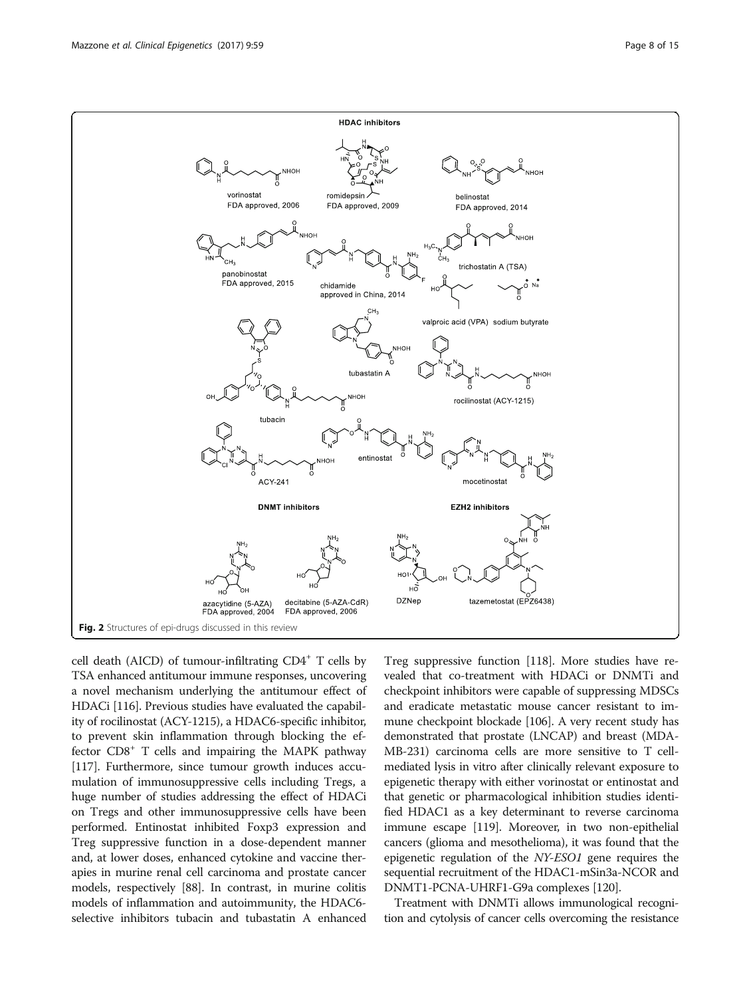<span id="page-7-0"></span>

cell death (AICD) of tumour-infiltrating  $CD4^+$  T cells by TSA enhanced antitumour immune responses, uncovering a novel mechanism underlying the antitumour effect of HDACi [[116](#page-14-0)]. Previous studies have evaluated the capability of rocilinostat (ACY-1215), a HDAC6-specific inhibitor, to prevent skin inflammation through blocking the effector CD8+ T cells and impairing the MAPK pathway [[117](#page-14-0)]. Furthermore, since tumour growth induces accumulation of immunosuppressive cells including Tregs, a huge number of studies addressing the effect of HDACi on Tregs and other immunosuppressive cells have been performed. Entinostat inhibited Foxp3 expression and Treg suppressive function in a dose-dependent manner and, at lower doses, enhanced cytokine and vaccine therapies in murine renal cell carcinoma and prostate cancer models, respectively [\[88\]](#page-13-0). In contrast, in murine colitis models of inflammation and autoimmunity, the HDAC6 selective inhibitors tubacin and tubastatin A enhanced

Treg suppressive function [\[118](#page-14-0)]. More studies have revealed that co-treatment with HDACi or DNMTi and checkpoint inhibitors were capable of suppressing MDSCs and eradicate metastatic mouse cancer resistant to immune checkpoint blockade [[106](#page-14-0)]. A very recent study has demonstrated that prostate (LNCAP) and breast (MDA-MB-231) carcinoma cells are more sensitive to T cellmediated lysis in vitro after clinically relevant exposure to epigenetic therapy with either vorinostat or entinostat and that genetic or pharmacological inhibition studies identified HDAC1 as a key determinant to reverse carcinoma immune escape [\[119\]](#page-14-0). Moreover, in two non-epithelial cancers (glioma and mesothelioma), it was found that the epigenetic regulation of the NY-ESO1 gene requires the sequential recruitment of the HDAC1-mSin3a-NCOR and DNMT1-PCNA-UHRF1-G9a complexes [\[120\]](#page-14-0).

Treatment with DNMTi allows immunological recognition and cytolysis of cancer cells overcoming the resistance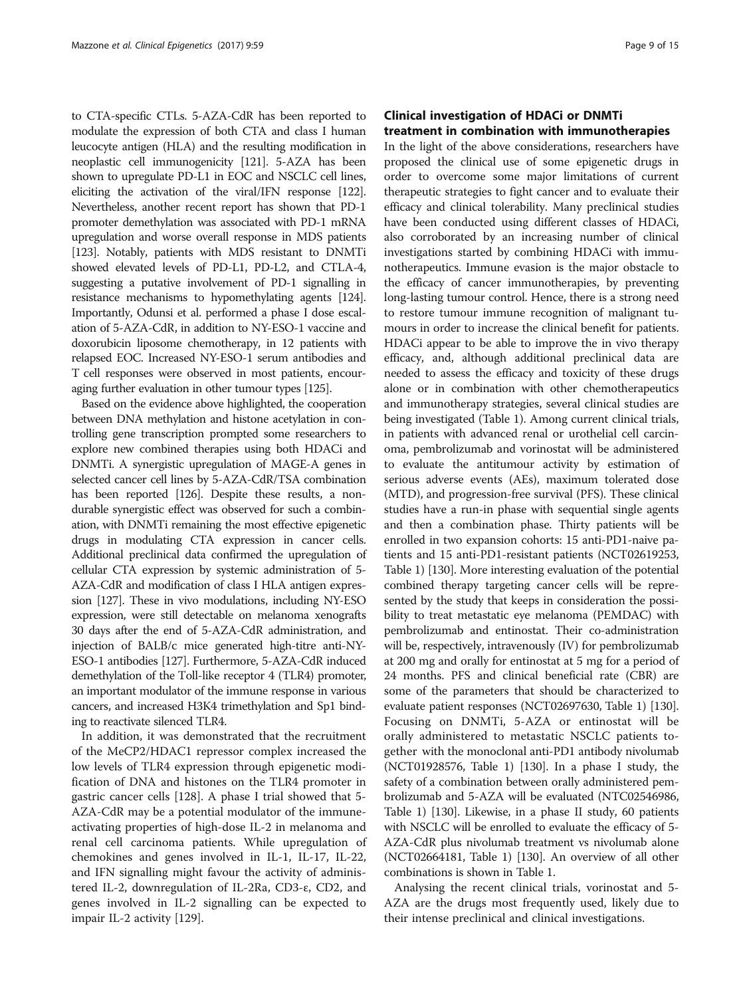to CTA-specific CTLs. 5-AZA-CdR has been reported to modulate the expression of both CTA and class I human leucocyte antigen (HLA) and the resulting modification in neoplastic cell immunogenicity [[121\]](#page-14-0). 5-AZA has been shown to upregulate PD-L1 in EOC and NSCLC cell lines, eliciting the activation of the viral/IFN response [\[122](#page-14-0)]. Nevertheless, another recent report has shown that PD-1 promoter demethylation was associated with PD-1 mRNA upregulation and worse overall response in MDS patients [[123\]](#page-14-0). Notably, patients with MDS resistant to DNMTi showed elevated levels of PD-L1, PD-L2, and CTLA-4, suggesting a putative involvement of PD-1 signalling in resistance mechanisms to hypomethylating agents [\[124](#page-14-0)]. Importantly, Odunsi et al. performed a phase I dose escalation of 5-AZA-CdR, in addition to NY-ESO-1 vaccine and doxorubicin liposome chemotherapy, in 12 patients with relapsed EOC. Increased NY-ESO-1 serum antibodies and T cell responses were observed in most patients, encouraging further evaluation in other tumour types [\[125](#page-14-0)].

Based on the evidence above highlighted, the cooperation between DNA methylation and histone acetylation in controlling gene transcription prompted some researchers to explore new combined therapies using both HDACi and DNMTi. A synergistic upregulation of MAGE-A genes in selected cancer cell lines by 5-AZA-CdR/TSA combination has been reported [\[126](#page-14-0)]. Despite these results, a nondurable synergistic effect was observed for such a combination, with DNMTi remaining the most effective epigenetic drugs in modulating CTA expression in cancer cells. Additional preclinical data confirmed the upregulation of cellular CTA expression by systemic administration of 5- AZA-CdR and modification of class I HLA antigen expression [[127\]](#page-14-0). These in vivo modulations, including NY-ESO expression, were still detectable on melanoma xenografts 30 days after the end of 5-AZA-CdR administration, and injection of BALB/c mice generated high-titre anti-NY-ESO-1 antibodies [\[127](#page-14-0)]. Furthermore, 5-AZA-CdR induced demethylation of the Toll-like receptor 4 (TLR4) promoter, an important modulator of the immune response in various cancers, and increased H3K4 trimethylation and Sp1 binding to reactivate silenced TLR4.

In addition, it was demonstrated that the recruitment of the MeCP2/HDAC1 repressor complex increased the low levels of TLR4 expression through epigenetic modification of DNA and histones on the TLR4 promoter in gastric cancer cells [\[128](#page-14-0)]. A phase I trial showed that 5- AZA-CdR may be a potential modulator of the immuneactivating properties of high-dose IL-2 in melanoma and renal cell carcinoma patients. While upregulation of chemokines and genes involved in IL-1, IL-17, IL-22, and IFN signalling might favour the activity of administered IL-2, downregulation of IL-2Ra, CD3-ε, CD2, and genes involved in IL-2 signalling can be expected to impair IL-2 activity [[129](#page-14-0)].

## Clinical investigation of HDACi or DNMTi treatment in combination with immunotherapies

In the light of the above considerations, researchers have proposed the clinical use of some epigenetic drugs in order to overcome some major limitations of current therapeutic strategies to fight cancer and to evaluate their efficacy and clinical tolerability. Many preclinical studies have been conducted using different classes of HDACi, also corroborated by an increasing number of clinical investigations started by combining HDACi with immunotherapeutics. Immune evasion is the major obstacle to the efficacy of cancer immunotherapies, by preventing long-lasting tumour control. Hence, there is a strong need to restore tumour immune recognition of malignant tumours in order to increase the clinical benefit for patients. HDACi appear to be able to improve the in vivo therapy efficacy, and, although additional preclinical data are needed to assess the efficacy and toxicity of these drugs alone or in combination with other chemotherapeutics and immunotherapy strategies, several clinical studies are being investigated (Table [1](#page-9-0)). Among current clinical trials, in patients with advanced renal or urothelial cell carcinoma, pembrolizumab and vorinostat will be administered to evaluate the antitumour activity by estimation of serious adverse events (AEs), maximum tolerated dose (MTD), and progression-free survival (PFS). These clinical studies have a run-in phase with sequential single agents and then a combination phase. Thirty patients will be enrolled in two expansion cohorts: 15 anti-PD1-naive patients and 15 anti-PD1-resistant patients (NCT02619253, Table [1\)](#page-9-0) [[130](#page-14-0)]. More interesting evaluation of the potential combined therapy targeting cancer cells will be represented by the study that keeps in consideration the possibility to treat metastatic eye melanoma (PEMDAC) with pembrolizumab and entinostat. Their co-administration will be, respectively, intravenously (IV) for pembrolizumab at 200 mg and orally for entinostat at 5 mg for a period of 24 months. PFS and clinical beneficial rate (CBR) are some of the parameters that should be characterized to evaluate patient responses (NCT02697630, Table [1\)](#page-9-0) [[130](#page-14-0)]. Focusing on DNMTi, 5-AZA or entinostat will be orally administered to metastatic NSCLC patients together with the monoclonal anti-PD1 antibody nivolumab (NCT01928576, Table [1\)](#page-9-0) [[130](#page-14-0)]. In a phase I study, the safety of a combination between orally administered pembrolizumab and 5-AZA will be evaluated (NTC02546986, Table [1](#page-9-0)) [\[130\]](#page-14-0). Likewise, in a phase II study, 60 patients with NSCLC will be enrolled to evaluate the efficacy of 5- AZA-CdR plus nivolumab treatment vs nivolumab alone (NCT02664181, Table [1](#page-9-0)) [\[130\]](#page-14-0). An overview of all other combinations is shown in Table [1.](#page-9-0)

Analysing the recent clinical trials, vorinostat and 5- AZA are the drugs most frequently used, likely due to their intense preclinical and clinical investigations.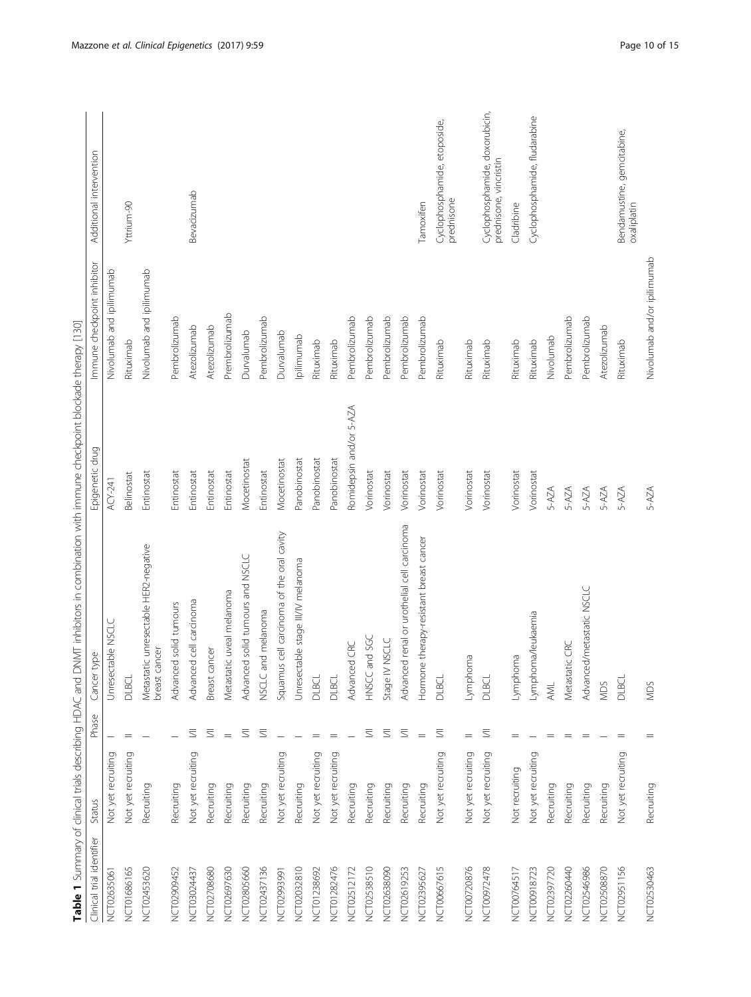<span id="page-9-0"></span>

|                           |                    |          | Table 1 Summary of clinical trials describing HDAC and DNMT inhibitors in combination with immune checkpoint blockade therapy [130] |                         |                             |                                                          |
|---------------------------|--------------------|----------|-------------------------------------------------------------------------------------------------------------------------------------|-------------------------|-----------------------------|----------------------------------------------------------|
| Clinical trial identifier | Status             | Phase    | type<br>Cancer                                                                                                                      | drug<br>Epigenetic      | Immune checkpoint inhibitor | Additional intervention                                  |
| NCT02635061               | Not yet recruiting |          | Unresectable NSCLC                                                                                                                  | ACY-241                 | Nivolumab and ipilimumab    |                                                          |
| NCT01686165               | Not yet recruiting |          | <b>DLBCL</b>                                                                                                                        | Belinostat              | Rituximab                   | Yttrium-90                                               |
| NCT02453620               | Recruiting         |          | Metastatic unresectable HER2-negative<br>breast cancer                                                                              | Entinostat              | Nivolumab and ipilimumab    |                                                          |
| NCT02909452               | Recruiting         |          | Advanced solid tumours                                                                                                              | Entinostat              | Pembrolizumab               |                                                          |
| NCT03024437               | Not yet recruiting | $\equiv$ | Advanced cell carcinoma                                                                                                             | Entinostat              | Atezolizumab                | Bevacizumab                                              |
| NCT02708680               | Recruiting         | $\equiv$ | Breast cancer                                                                                                                       | Entinostat              | Atezolizumab                |                                                          |
| NCT02697630               | Recruiting         | $=$      | Metastatic uveal melanoma                                                                                                           | Entinostat              | Prembrolizumab              |                                                          |
| NCT02805660               | Recruiting         | $\equiv$ | Advanced solid tumours and NSCLC                                                                                                    | Mocetinostat            | Durvalumab                  |                                                          |
| NCT02437136               | Recruiting         | $\equiv$ | NSCLC and melanoma                                                                                                                  | Entinostat              | Pembrolizumab               |                                                          |
| NCT02993991               | Not yet recruiting |          | Squamus cell carcinoma of the oral cavity                                                                                           | Mocetinostat            | Durvalumab                  |                                                          |
| NCT02032810               | Recruiting         |          | Unresectable stage III/IV melanoma                                                                                                  | Panobinostat            | lpilimumab                  |                                                          |
| NCT01238692               | Not yet recruiting | $=$      | DLBCL                                                                                                                               | Panobinostat            | Rituximab                   |                                                          |
| NCT01282476               | Not yet recruiting | $=$      | DLBCL                                                                                                                               | Panobinostat            | Rituximab                   |                                                          |
| NCT02512172               | Recruiting         |          | Advanced CRC                                                                                                                        | Romidepsin and/or 5-AZA | Pembrolizumab               |                                                          |
| NCT02538510               | Recruiting         | $\equiv$ | HNSCC and SGC                                                                                                                       | Vorinostat              | Pembrolizumab               |                                                          |
| NCT02638090               | Recruiting         | $\equiv$ | Stage IV NSCLC                                                                                                                      | Vorinostat              | Pembrolizumab               |                                                          |
| NCT02619253               | Recruiting         | $\equiv$ | Advanced renal or urothelial cell carcinoma                                                                                         | Vorinostat              | Pembrolizumab               |                                                          |
| NCT02395627               | Recruiting         | $=$      | Hormone therapy-resistant breast cancer                                                                                             | Vorinostat              | Pembrolizumab               | Tamoxifen                                                |
| NCT00667615               | Not yet recruiting | $\equiv$ | DLBCL                                                                                                                               | Vorinostat              | Rituximab                   | Cyclophosphamide, etoposide,<br>prednisone               |
| NCT00720876               | Not yet recruiting | $=$      | Lymphoma                                                                                                                            | Vorinostat              | Rituximab                   |                                                          |
| NCT00972478               | Not yet recruiting | $\equiv$ | DLBCL                                                                                                                               | Vorinostat              | Rituximab                   | Cyclophosphamide, doxorubicin,<br>prednisone, vincristin |
| NCT00764517               | Not recruiting     | $=$      | Lymphoma                                                                                                                            | Vorinostat              | Rituximab                   | Cladribine                                               |
| NCT00918723               | Not yet recruiting |          | Lymphoma/leukaemia                                                                                                                  | Vorinostat              | Rituximab                   | Cyclophosphamide, fludarabine                            |
| NCT02397720               | Recruiting         | $=$      | AML                                                                                                                                 | $5 - AZA$               | Nivolumab                   |                                                          |
| NCT02260440               | Recruiting         | $=$      | Metastatic CRC                                                                                                                      | $5 - AZA$               | Pembrolizumab               |                                                          |
| NCT02546986               | Recruiting         | $=$      | Advanced/metastatic NSCLC                                                                                                           | $5 - AZA$               | Pembrolizumab               |                                                          |
| NCT02508870               | Recruiting         |          | NDS                                                                                                                                 | 5-AZA                   | Atezolizumab                |                                                          |
| NCT02951156               | Not yet recruiting | $=$      | <b>DLBCL</b>                                                                                                                        | $5 - AZA$               | Rituximab                   | Bendamustine, gemcitabine,<br>oxaliplatin                |
| NCT02530463               | Recruiting         | $=$      | NDS                                                                                                                                 | $5 - AZA$               | Nivolumab and/or ipilimumab |                                                          |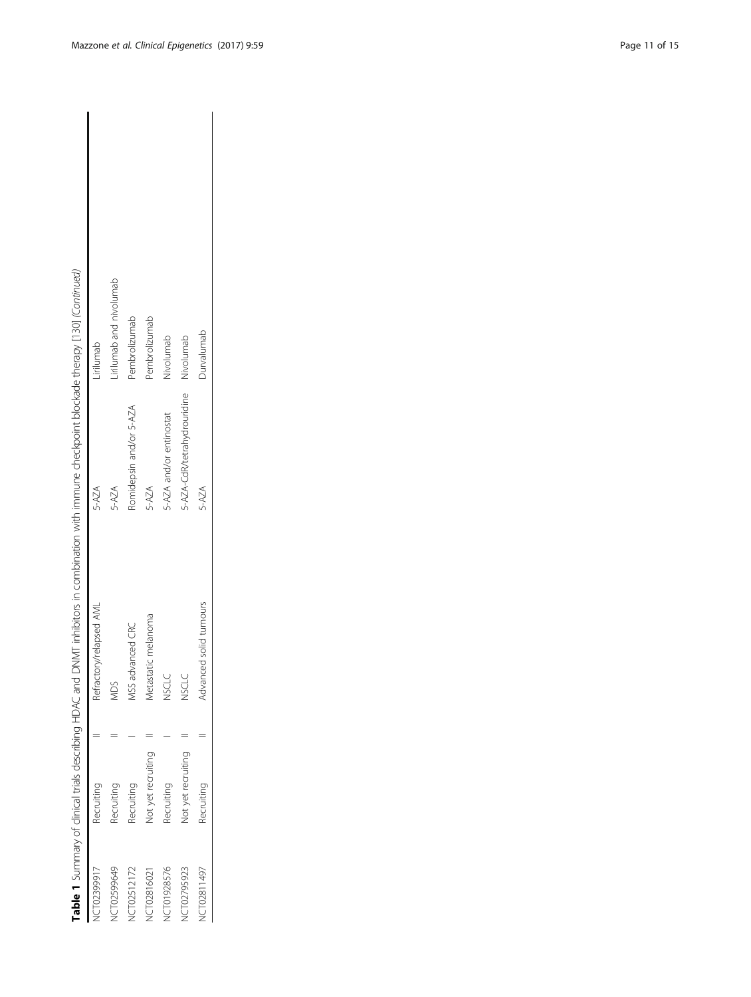|                    |                    | Table 1 Summary of clinical trials describing HDAC and DNMT inhibitors in combination with immune checkpoint blockade therapy [130] (Continued) |                             |                        |
|--------------------|--------------------|-------------------------------------------------------------------------------------------------------------------------------------------------|-----------------------------|------------------------|
| CT02399917         | Recruiting         | Refractory/relapsed AML                                                                                                                         | 5-AZA                       | demuliti               |
| CT02599649         | Recruiting         | NDS                                                                                                                                             | $5 - A Z A$                 | irilumab and nivolumab |
| VCT02512172        | Recruiting         | MSS advanced CRC                                                                                                                                | Romidepsin and/or 5-AZA     | Pembrolizumab          |
| NCT02816021        | Vot yet recruiting | Metastatic melanoma                                                                                                                             | $5-AZA$                     | Pembrolizumab          |
| <b>NCT01928576</b> | Recruiting         | NSCLC                                                                                                                                           | 5-AZA and/or entinostat     | Nivolumab              |
| <b>NCT02795923</b> | lot yet recruiting | NSCLC                                                                                                                                           | 5-AZA-CdR/tetrahydrouridine | Nivolumab              |
| VCT02811497        | Recruiting         | Advanced solid tumours                                                                                                                          | 5-AZA                       | Durvalumab             |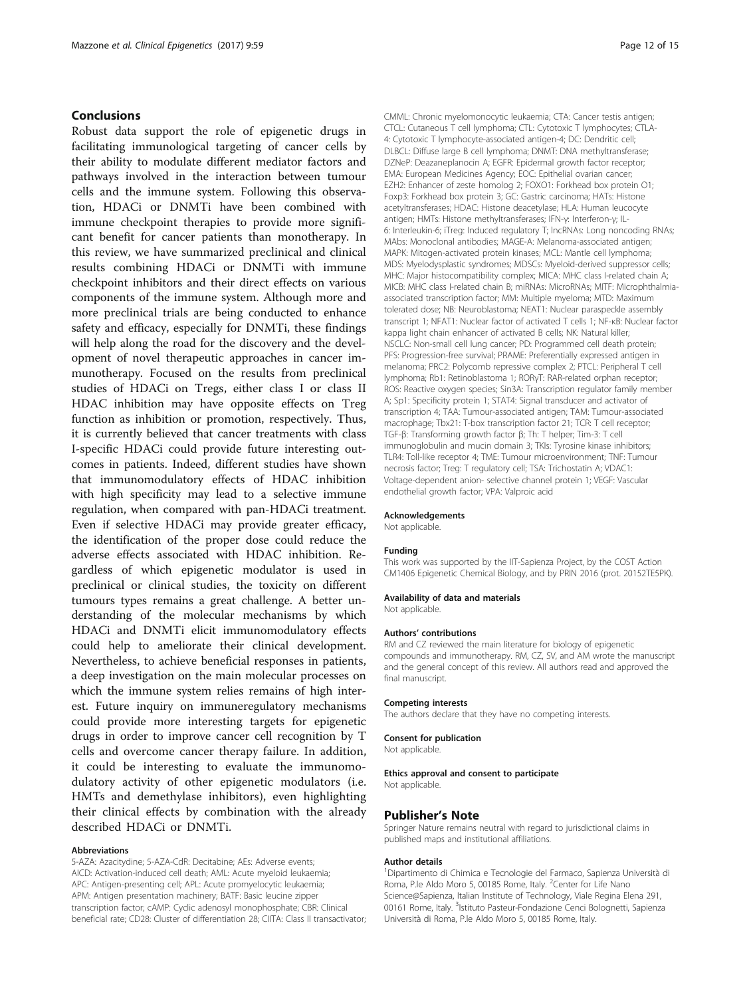## <span id="page-11-0"></span>Conclusions

Robust data support the role of epigenetic drugs in facilitating immunological targeting of cancer cells by their ability to modulate different mediator factors and pathways involved in the interaction between tumour cells and the immune system. Following this observation, HDACi or DNMTi have been combined with immune checkpoint therapies to provide more significant benefit for cancer patients than monotherapy. In this review, we have summarized preclinical and clinical results combining HDACi or DNMTi with immune checkpoint inhibitors and their direct effects on various components of the immune system. Although more and more preclinical trials are being conducted to enhance safety and efficacy, especially for DNMTi, these findings will help along the road for the discovery and the development of novel therapeutic approaches in cancer immunotherapy. Focused on the results from preclinical studies of HDACi on Tregs, either class I or class II HDAC inhibition may have opposite effects on Treg function as inhibition or promotion, respectively. Thus, it is currently believed that cancer treatments with class I-specific HDACi could provide future interesting outcomes in patients. Indeed, different studies have shown that immunomodulatory effects of HDAC inhibition with high specificity may lead to a selective immune regulation, when compared with pan-HDACi treatment. Even if selective HDACi may provide greater efficacy, the identification of the proper dose could reduce the adverse effects associated with HDAC inhibition. Regardless of which epigenetic modulator is used in preclinical or clinical studies, the toxicity on different tumours types remains a great challenge. A better understanding of the molecular mechanisms by which HDACi and DNMTi elicit immunomodulatory effects could help to ameliorate their clinical development. Nevertheless, to achieve beneficial responses in patients, a deep investigation on the main molecular processes on which the immune system relies remains of high interest. Future inquiry on immuneregulatory mechanisms could provide more interesting targets for epigenetic drugs in order to improve cancer cell recognition by T cells and overcome cancer therapy failure. In addition, it could be interesting to evaluate the immunomodulatory activity of other epigenetic modulators (i.e. HMTs and demethylase inhibitors), even highlighting their clinical effects by combination with the already described HDACi or DNMTi.

#### Abbreviations

5-AZA: Azacitydine; 5-AZA-CdR: Decitabine; AEs: Adverse events; AICD: Activation-induced cell death; AML: Acute myeloid leukaemia; APC: Antigen-presenting cell; APL: Acute promyelocytic leukaemia; APM: Antigen presentation machinery; BATF: Basic leucine zipper transcription factor; cAMP: Cyclic adenosyl monophosphate; CBR: Clinical beneficial rate; CD28: Cluster of differentiation 28; CIITA: Class II transactivator; CMML: Chronic myelomonocytic leukaemia; CTA: Cancer testis antigen; CTCL: Cutaneous T cell lymphoma; CTL: Cytotoxic T lymphocytes; CTLA-4: Cytotoxic T lymphocyte-associated antigen-4; DC: Dendritic cell; DLBCL: Diffuse large B cell lymphoma; DNMT: DNA methyltransferase; DZNeP: Deazaneplanocin A; EGFR: Epidermal growth factor receptor; EMA: European Medicines Agency; EOC: Epithelial ovarian cancer; EZH2: Enhancer of zeste homolog 2; FOXO1: Forkhead box protein O1; Foxp3: Forkhead box protein 3; GC: Gastric carcinoma; HATs: Histone acetyltransferases; HDAC: Histone deacetylase; HLA: Human leucocyte antigen; HMTs: Histone methyltransferases; IFN-γ: Interferon-γ; IL-6: Interleukin-6; iTreg: Induced regulatory T; lncRNAs: Long noncoding RNAs; MAbs: Monoclonal antibodies; MAGE-A: Melanoma-associated antigen; MAPK: Mitogen-activated protein kinases; MCL: Mantle cell lymphoma; MDS: Myelodysplastic syndromes; MDSCs: Myeloid-derived suppressor cells; MHC: Major histocompatibility complex; MICA: MHC class I-related chain A; MICB: MHC class I-related chain B; miRNAs: MicroRNAs; MITF: Microphthalmiaassociated transcription factor; MM: Multiple myeloma; MTD: Maximum tolerated dose; NB: Neuroblastoma; NEAT1: Nuclear paraspeckle assembly transcript 1; NFAT1: Nuclear factor of activated T cells 1; NF-κB: Nuclear factor kappa light chain enhancer of activated B cells; NK: Natural killer; NSCLC: Non-small cell lung cancer; PD: Programmed cell death protein; PFS: Progression-free survival; PRAME: Preferentially expressed antigen in melanoma; PRC2: Polycomb repressive complex 2; PTCL: Peripheral T cell lymphoma; Rb1: Retinoblastoma 1; RORγT: RAR-related orphan receptor; ROS: Reactive oxygen species; Sin3A: Transcription regulator family member A; Sp1: Specificity protein 1; STAT4: Signal transducer and activator of transcription 4; TAA: Tumour-associated antigen; TAM: Tumour-associated macrophage; Tbx21: T-box transcription factor 21; TCR: T cell receptor; TGF-β: Transforming growth factor β; Th: T helper; Tim-3: T cell immunoglobulin and mucin domain 3; TKIs: Tyrosine kinase inhibitors; TLR4: Toll-like receptor 4; TME: Tumour microenvironment; TNF: Tumour necrosis factor; Treg: T regulatory cell; TSA: Trichostatin A; VDAC1: Voltage-dependent anion- selective channel protein 1; VEGF: Vascular endothelial growth factor; VPA: Valproic acid

#### Acknowledgements

Not applicable.

#### Funding

This work was supported by the IIT-Sapienza Project, by the COST Action CM1406 Epigenetic Chemical Biology, and by PRIN 2016 (prot. 20152TE5PK).

#### Availability of data and materials

Not applicable.

#### Authors' contributions

RM and CZ reviewed the main literature for biology of epigenetic compounds and immunotherapy. RM, CZ, SV, and AM wrote the manuscript and the general concept of this review. All authors read and approved the final manuscript.

#### Competing interests

The authors declare that they have no competing interests.

#### Consent for publication

Not applicable.

#### Ethics approval and consent to participate

Not applicable.

#### Publisher's Note

Springer Nature remains neutral with regard to jurisdictional claims in published maps and institutional affiliations.

#### Author details

1 Dipartimento di Chimica e Tecnologie del Farmaco, Sapienza Università di Roma, P.le Aldo Moro 5, 00185 Rome, Italy. <sup>2</sup>Center for Life Nano Science@Sapienza, Italian Institute of Technology, Viale Regina Elena 291, 00161 Rome, Italy. <sup>3</sup>Istituto Pasteur-Fondazione Cenci Bolognetti, Sapienza Università di Roma, P.le Aldo Moro 5, 00185 Rome, Italy.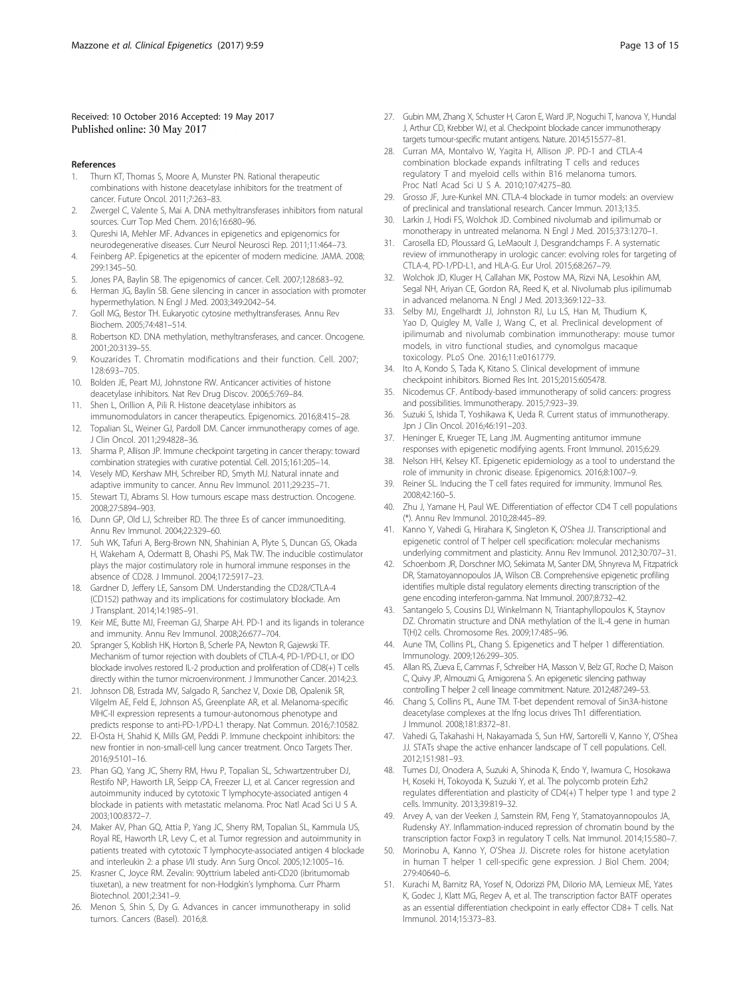### <span id="page-12-0"></span>Received: 10 October 2016 Accepted: 19 May 2017 Published online: 30 May 2017

#### References

- 1. Thurn KT, Thomas S, Moore A, Munster PN. Rational therapeutic combinations with histone deacetylase inhibitors for the treatment of cancer. Future Oncol. 2011;7:263–83.
- 2. Zwergel C, Valente S, Mai A. DNA methyltransferases inhibitors from natural sources. Curr Top Med Chem. 2016;16:680–96.
- 3. Qureshi IA, Mehler MF. Advances in epigenetics and epigenomics for neurodegenerative diseases. Curr Neurol Neurosci Rep. 2011;11:464–73.
- 4. Feinberg AP. Epigenetics at the epicenter of modern medicine. JAMA. 2008; 299:1345–50.
- 5. Jones PA, Baylin SB. The epigenomics of cancer. Cell. 2007;128:683–92.
- 6. Herman JG, Baylin SB. Gene silencing in cancer in association with promoter hypermethylation. N Engl J Med. 2003;349:2042–54.
- 7. Goll MG, Bestor TH. Eukaryotic cytosine methyltransferases. Annu Rev Biochem. 2005;74:481–514.
- 8. Robertson KD. DNA methylation, methyltransferases, and cancer. Oncogene. 2001;20:3139–55.
- 9. Kouzarides T. Chromatin modifications and their function. Cell. 2007; 128:693–705.
- 10. Bolden JE, Peart MJ, Johnstone RW. Anticancer activities of histone deacetylase inhibitors. Nat Rev Drug Discov. 2006;5:769–84.
- 11. Shen L, Orillion A, Pili R. Histone deacetylase inhibitors as immunomodulators in cancer therapeutics. Epigenomics. 2016;8:415–28.
- 12. Topalian SL, Weiner GJ, Pardoll DM. Cancer immunotherapy comes of age. J Clin Oncol. 2011;29:4828–36.
- 13. Sharma P, Allison JP. Immune checkpoint targeting in cancer therapy: toward combination strategies with curative potential. Cell. 2015;161:205–14.
- 14. Vesely MD, Kershaw MH, Schreiber RD, Smyth MJ. Natural innate and adaptive immunity to cancer. Annu Rev Immunol. 2011;29:235–71.
- 15. Stewart TJ, Abrams SI. How tumours escape mass destruction. Oncogene. 2008;27:5894–903.
- 16. Dunn GP, Old LJ, Schreiber RD. The three Es of cancer immunoediting. Annu Rev Immunol. 2004;22:329–60.
- 17. Suh WK, Tafuri A, Berg-Brown NN, Shahinian A, Plyte S, Duncan GS, Okada H, Wakeham A, Odermatt B, Ohashi PS, Mak TW. The inducible costimulator plays the major costimulatory role in humoral immune responses in the absence of CD28. J Immunol. 2004;172:5917–23.
- 18. Gardner D, Jeffery LE, Sansom DM. Understanding the CD28/CTLA-4 (CD152) pathway and its implications for costimulatory blockade. Am J Transplant. 2014;14:1985–91.
- 19. Keir ME, Butte MJ, Freeman GJ, Sharpe AH. PD-1 and its ligands in tolerance and immunity. Annu Rev Immunol. 2008;26:677–704.
- 20. Spranger S, Koblish HK, Horton B, Scherle PA, Newton R, Gajewski TF. Mechanism of tumor rejection with doublets of CTLA-4, PD-1/PD-L1, or IDO blockade involves restored IL-2 production and proliferation of CD8(+) T cells directly within the tumor microenvironment. J Immunother Cancer. 2014;2:3.
- 21. Johnson DB, Estrada MV, Salgado R, Sanchez V, Doxie DB, Opalenik SR, Vilgelm AE, Feld E, Johnson AS, Greenplate AR, et al. Melanoma-specific MHC-II expression represents a tumour-autonomous phenotype and predicts response to anti-PD-1/PD-L1 therapy. Nat Commun. 2016;7:10582.
- 22. El-Osta H, Shahid K, Mills GM, Peddi P. Immune checkpoint inhibitors: the new frontier in non-small-cell lung cancer treatment. Onco Targets Ther. 2016;9:5101–16.
- 23. Phan GQ, Yang JC, Sherry RM, Hwu P, Topalian SL, Schwartzentruber DJ, Restifo NP, Haworth LR, Seipp CA, Freezer LJ, et al. Cancer regression and autoimmunity induced by cytotoxic T lymphocyte-associated antigen 4 blockade in patients with metastatic melanoma. Proc Natl Acad Sci U S A. 2003;100:8372–7.
- 24. Maker AV, Phan GQ, Attia P, Yang JC, Sherry RM, Topalian SL, Kammula US, Royal RE, Haworth LR, Levy C, et al. Tumor regression and autoimmunity in patients treated with cytotoxic T lymphocyte-associated antigen 4 blockade and interleukin 2: a phase I/II study. Ann Surg Oncol. 2005;12:1005–16.
- 25. Krasner C, Joyce RM. Zevalin: 90yttrium labeled anti-CD20 (ibritumomab tiuxetan), a new treatment for non-Hodgkin's lymphoma. Curr Pharm Biotechnol. 2001;2:341–9.
- 26. Menon S, Shin S, Dy G. Advances in cancer immunotherapy in solid tumors. Cancers (Basel). 2016;8.
- 27. Gubin MM, Zhang X, Schuster H, Caron E, Ward JP, Noguchi T, Ivanova Y, Hundal J, Arthur CD, Krebber WJ, et al. Checkpoint blockade cancer immunotherapy targets tumour-specific mutant antigens. Nature. 2014;515:577–81.
- 28. Curran MA, Montalvo W, Yagita H, Allison JP. PD-1 and CTLA-4 combination blockade expands infiltrating T cells and reduces regulatory T and myeloid cells within B16 melanoma tumors. Proc Natl Acad Sci U S A. 2010;107:4275–80.
- 29. Grosso JF, Jure-Kunkel MN, CTLA-4 blockade in tumor models: an overview of preclinical and translational research. Cancer Immun. 2013;13:5.
- 30. Larkin J, Hodi FS, Wolchok JD. Combined nivolumab and ipilimumab or monotherapy in untreated melanoma. N Engl J Med. 2015;373:1270–1.
- 31. Carosella ED, Ploussard G, LeMaoult J, Desgrandchamps F. A systematic review of immunotherapy in urologic cancer: evolving roles for targeting of CTLA-4, PD-1/PD-L1, and HLA-G. Eur Urol. 2015;68:267–79.
- 32. Wolchok JD, Kluger H, Callahan MK, Postow MA, Rizvi NA, Lesokhin AM, Segal NH, Ariyan CE, Gordon RA, Reed K, et al. Nivolumab plus ipilimumab in advanced melanoma. N Engl J Med. 2013;369:122–33.
- 33. Selby MJ, Engelhardt JJ, Johnston RJ, Lu LS, Han M, Thudium K, Yao D, Quigley M, Valle J, Wang C, et al. Preclinical development of ipilimumab and nivolumab combination immunotherapy: mouse tumor models, in vitro functional studies, and cynomolgus macaque toxicology. PLoS One. 2016;11:e0161779.
- 34. Ito A, Kondo S, Tada K, Kitano S. Clinical development of immune checkpoint inhibitors. Biomed Res Int. 2015;2015:605478.
- 35. Nicodemus CF. Antibody-based immunotherapy of solid cancers: progress and possibilities. Immunotherapy. 2015;7:923–39.
- 36. Suzuki S, Ishida T, Yoshikawa K, Ueda R. Current status of immunotherapy. Jpn J Clin Oncol. 2016;46:191–203.
- 37. Heninger E, Krueger TE, Lang JM. Augmenting antitumor immune responses with epigenetic modifying agents. Front Immunol. 2015;6:29.
- 38. Nelson HH, Kelsey KT. Epigenetic epidemiology as a tool to understand the role of immunity in chronic disease. Epigenomics. 2016;8:1007–9.
- 39. Reiner SL. Inducing the T cell fates required for immunity. Immunol Res. 2008;42:160–5.
- 40. Zhu J, Yamane H, Paul WE. Differentiation of effector CD4 T cell populations (\*). Annu Rev Immunol. 2010;28:445–89.
- 41. Kanno Y, Vahedi G, Hirahara K, Singleton K, O'Shea JJ. Transcriptional and epigenetic control of T helper cell specification: molecular mechanisms underlying commitment and plasticity. Annu Rev Immunol. 2012;30:707–31.
- 42. Schoenborn JR, Dorschner MO, Sekimata M, Santer DM, Shnyreva M, Fitzpatrick DR, Stamatoyannopoulos JA, Wilson CB. Comprehensive epigenetic profiling identifies multiple distal regulatory elements directing transcription of the gene encoding interferon-gamma. Nat Immunol. 2007;8:732–42.
- 43. Santangelo S, Cousins DJ, Winkelmann N, Triantaphyllopoulos K, Staynov DZ. Chromatin structure and DNA methylation of the IL-4 gene in human T(H)2 cells. Chromosome Res. 2009;17:485–96.
- Aune TM, Collins PL, Chang S. Epigenetics and T helper 1 differentiation. Immunology. 2009;126:299–305.
- 45. Allan RS, Zueva E, Cammas F, Schreiber HA, Masson V, Belz GT, Roche D, Maison C, Quivy JP, Almouzni G, Amigorena S. An epigenetic silencing pathway controlling T helper 2 cell lineage commitment. Nature. 2012;487:249–53.
- 46. Chang S, Collins PL, Aune TM. T-bet dependent removal of Sin3A-histone deacetylase complexes at the Ifng locus drives Th1 differentiation. J Immunol. 2008;181:8372–81.
- 47. Vahedi G, Takahashi H, Nakayamada S, Sun HW, Sartorelli V, Kanno Y, O'Shea JJ. STATs shape the active enhancer landscape of T cell populations. Cell. 2012;151:981–93.
- Tumes DJ, Onodera A, Suzuki A, Shinoda K, Endo Y, Iwamura C, Hosokawa H, Koseki H, Tokoyoda K, Suzuki Y, et al. The polycomb protein Ezh2 regulates differentiation and plasticity of CD4(+) T helper type 1 and type 2 cells. Immunity. 2013;39:819–32.
- Arvey A, van der Veeken J, Samstein RM, Feng Y, Stamatoyannopoulos JA, Rudensky AY. Inflammation-induced repression of chromatin bound by the transcription factor Foxp3 in regulatory T cells. Nat Immunol. 2014;15:580–7.
- 50. Morinobu A, Kanno Y, O'Shea JJ. Discrete roles for histone acetylation in human T helper 1 cell-specific gene expression. J Biol Chem. 2004; 279:40640–6.
- 51. Kurachi M, Barnitz RA, Yosef N, Odorizzi PM, DiIorio MA, Lemieux ME, Yates K, Godec J, Klatt MG, Regev A, et al. The transcription factor BATF operates as an essential differentiation checkpoint in early effector CD8+ T cells. Nat Immunol. 2014;15:373–83.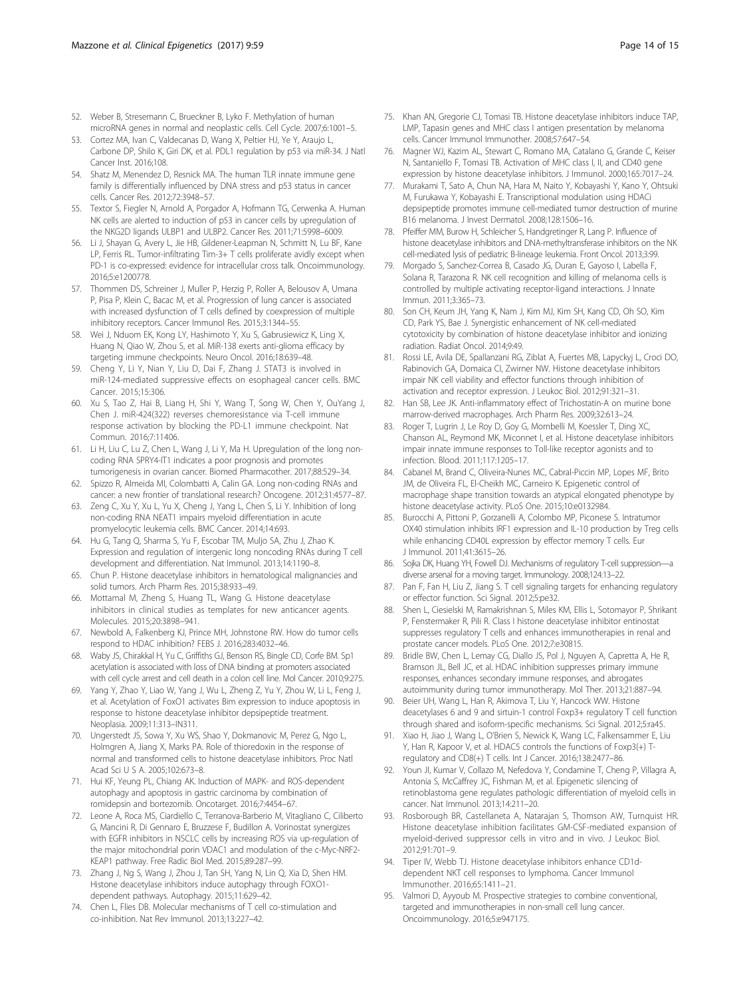- <span id="page-13-0"></span>52. Weber B, Stresemann C, Brueckner B, Lyko F. Methylation of human microRNA genes in normal and neoplastic cells. Cell Cycle. 2007;6:1001–5.
- 53. Cortez MA, Ivan C, Valdecanas D, Wang X, Peltier HJ, Ye Y, Araujo L, Carbone DP, Shilo K, Giri DK, et al. PDL1 regulation by p53 via miR-34. J Natl Cancer Inst. 2016;108.
- 54. Shatz M, Menendez D, Resnick MA. The human TLR innate immune gene family is differentially influenced by DNA stress and p53 status in cancer cells. Cancer Res. 2012;72:3948–57.
- 55. Textor S, Fiegler N, Arnold A, Porgador A, Hofmann TG, Cerwenka A. Human NK cells are alerted to induction of p53 in cancer cells by upregulation of the NKG2D ligands ULBP1 and ULBP2. Cancer Res. 2011;71:5998–6009.
- 56. Li J, Shayan G, Avery L, Jie HB, Gildener-Leapman N, Schmitt N, Lu BF, Kane LP, Ferris RL. Tumor-infiltrating Tim-3+ T cells proliferate avidly except when PD-1 is co-expressed: evidence for intracellular cross talk. Oncoimmunology. 2016;5:e1200778.
- 57. Thommen DS, Schreiner J, Muller P, Herzig P, Roller A, Belousov A, Umana P, Pisa P, Klein C, Bacac M, et al. Progression of lung cancer is associated with increased dysfunction of T cells defined by coexpression of multiple inhibitory receptors. Cancer Immunol Res. 2015;3:1344–55.
- 58. Wei J, Nduom EK, Kong LY, Hashimoto Y, Xu S, Gabrusiewicz K, Ling X, Huang N, Qiao W, Zhou S, et al. MiR-138 exerts anti-glioma efficacy by targeting immune checkpoints. Neuro Oncol. 2016;18:639–48.
- 59. Cheng Y, Li Y, Nian Y, Liu D, Dai F, Zhang J. STAT3 is involved in miR-124-mediated suppressive effects on esophageal cancer cells. BMC Cancer. 2015;15:306.
- 60. Xu S, Tao Z, Hai B, Liang H, Shi Y, Wang T, Song W, Chen Y, OuYang J, Chen J. miR-424(322) reverses chemoresistance via T-cell immune response activation by blocking the PD-L1 immune checkpoint. Nat Commun. 2016;7:11406.
- 61. Li H, Liu C, Lu Z, Chen L, Wang J, Li Y, Ma H. Upregulation of the long noncoding RNA SPRY4-IT1 indicates a poor prognosis and promotes tumorigenesis in ovarian cancer. Biomed Pharmacother. 2017;88:529–34.
- 62. Spizzo R, Almeida MI, Colombatti A, Calin GA. Long non-coding RNAs and cancer: a new frontier of translational research? Oncogene. 2012;31:4577–87.
- 63. Zeng C, Xu Y, Xu L, Yu X, Cheng J, Yang L, Chen S, Li Y. Inhibition of long non-coding RNA NEAT1 impairs myeloid differentiation in acute promyelocytic leukemia cells. BMC Cancer. 2014;14:693.
- 64. Hu G, Tang Q, Sharma S, Yu F, Escobar TM, Muljo SA, Zhu J, Zhao K. Expression and regulation of intergenic long noncoding RNAs during T cell development and differentiation. Nat Immunol. 2013;14:1190–8.
- 65. Chun P. Histone deacetylase inhibitors in hematological malignancies and solid tumors. Arch Pharm Res. 2015;38:933–49.
- 66. Mottamal M, Zheng S, Huang TL, Wang G. Histone deacetylase inhibitors in clinical studies as templates for new anticancer agents. Molecules. 2015;20:3898–941.
- 67. Newbold A, Falkenberg KJ, Prince MH, Johnstone RW. How do tumor cells respond to HDAC inhibition? FEBS J. 2016;283:4032–46.
- 68. Waby JS, Chirakkal H, Yu C, Griffiths GJ, Benson RS, Bingle CD, Corfe BM. Sp1 acetylation is associated with loss of DNA binding at promoters associated with cell cycle arrest and cell death in a colon cell line. Mol Cancer. 2010;9:275.
- 69. Yang Y, Zhao Y, Liao W, Yang J, Wu L, Zheng Z, Yu Y, Zhou W, Li L, Feng J, et al. Acetylation of FoxO1 activates Bim expression to induce apoptosis in response to histone deacetylase inhibitor depsipeptide treatment. Neoplasia. 2009;11:313–IN311.
- 70. Ungerstedt JS, Sowa Y, Xu WS, Shao Y, Dokmanovic M, Perez G, Ngo L, Holmgren A, Jiang X, Marks PA. Role of thioredoxin in the response of normal and transformed cells to histone deacetylase inhibitors. Proc Natl Acad Sci U S A. 2005;102:673–8.
- 71. Hui KF, Yeung PL, Chiang AK. Induction of MAPK- and ROS-dependent autophagy and apoptosis in gastric carcinoma by combination of romidepsin and bortezomib. Oncotarget. 2016;7:4454–67.
- 72. Leone A, Roca MS, Ciardiello C, Terranova-Barberio M, Vitagliano C, Ciliberto G, Mancini R, Di Gennaro E, Bruzzese F, Budillon A. Vorinostat synergizes with EGFR inhibitors in NSCLC cells by increasing ROS via up-regulation of the major mitochondrial porin VDAC1 and modulation of the c-Myc-NRF2- KEAP1 pathway. Free Radic Biol Med. 2015;89:287–99.
- 73. Zhang J, Ng S, Wang J, Zhou J, Tan SH, Yang N, Lin Q, Xia D, Shen HM. Histone deacetylase inhibitors induce autophagy through FOXO1 dependent pathways. Autophagy. 2015;11:629–42.
- 74. Chen L, Flies DB. Molecular mechanisms of T cell co-stimulation and co-inhibition. Nat Rev Immunol. 2013;13:227–42.
- 75. Khan AN, Gregorie CJ, Tomasi TB. Histone deacetylase inhibitors induce TAP, LMP, Tapasin genes and MHC class I antigen presentation by melanoma cells. Cancer Immunol Immunother. 2008;57:647–54.
- 76. Magner WJ, Kazim AL, Stewart C, Romano MA, Catalano G, Grande C, Keiser N, Santaniello F, Tomasi TB. Activation of MHC class I, II, and CD40 gene expression by histone deacetylase inhibitors. J Immunol. 2000;165:7017–24.
- 77. Murakami T, Sato A, Chun NA, Hara M, Naito Y, Kobayashi Y, Kano Y, Ohtsuki M, Furukawa Y, Kobayashi E. Transcriptional modulation using HDACi depsipeptide promotes immune cell-mediated tumor destruction of murine B16 melanoma. J Invest Dermatol. 2008;128:1506–16.
- 78. Pfeiffer MM, Burow H, Schleicher S, Handgretinger R, Lang P. Influence of histone deacetylase inhibitors and DNA-methyltransferase inhibitors on the NK cell-mediated lysis of pediatric B-lineage leukemia. Front Oncol. 2013;3:99.
- 79. Morgado S, Sanchez-Correa B, Casado JG, Duran E, Gayoso I, Labella F, Solana R, Tarazona R. NK cell recognition and killing of melanoma cells is controlled by multiple activating receptor-ligand interactions. J Innate Immun. 2011;3:365–73.
- 80. Son CH, Keum JH, Yang K, Nam J, Kim MJ, Kim SH, Kang CD, Oh SO, Kim CD, Park YS, Bae J. Synergistic enhancement of NK cell-mediated cytotoxicity by combination of histone deacetylase inhibitor and ionizing radiation. Radiat Oncol. 2014;9:49.
- 81. Rossi LE, Avila DE, Spallanzani RG, Ziblat A, Fuertes MB, Lapyckyj L, Croci DO, Rabinovich GA, Domaica CI, Zwirner NW. Histone deacetylase inhibitors impair NK cell viability and effector functions through inhibition of activation and receptor expression. J Leukoc Biol. 2012;91:321–31.
- 82. Han SB, Lee JK. Anti-inflammatory effect of Trichostatin-A on murine bone marrow-derived macrophages. Arch Pharm Res. 2009;32:613–24.
- 83. Roger T, Lugrin J, Le Roy D, Goy G, Mombelli M, Koessler T, Ding XC, Chanson AL, Reymond MK, Miconnet I, et al. Histone deacetylase inhibitors impair innate immune responses to Toll-like receptor agonists and to infection. Blood. 2011;117:1205–17.
- 84. Cabanel M, Brand C, Oliveira-Nunes MC, Cabral-Piccin MP, Lopes MF, Brito JM, de Oliveira FL, El-Cheikh MC, Carneiro K. Epigenetic control of macrophage shape transition towards an atypical elongated phenotype by histone deacetylase activity. PLoS One. 2015;10:e0132984.
- 85. Burocchi A, Pittoni P, Gorzanelli A, Colombo MP, Piconese S. Intratumor OX40 stimulation inhibits IRF1 expression and IL-10 production by Treg cells while enhancing CD40L expression by effector memory T cells. Eur J Immunol. 2011;41:3615–26.
- 86. Sojka DK, Huang YH, Fowell DJ. Mechanisms of regulatory T-cell suppression—a diverse arsenal for a moving target. Immunology. 2008;124:13–22.
- 87. Pan F, Fan H, Liu Z, Jiang S. T cell signaling targets for enhancing regulatory or effector function. Sci Signal. 2012;5:pe32.
- 88. Shen L, Ciesielski M, Ramakrishnan S, Miles KM, Ellis L, Sotomayor P, Shrikant P, Fenstermaker R, Pili R. Class I histone deacetylase inhibitor entinostat suppresses regulatory T cells and enhances immunotherapies in renal and prostate cancer models. PLoS One. 2012;7:e30815.
- 89. Bridle BW, Chen L, Lemay CG, Diallo JS, Pol J, Nguyen A, Capretta A, He R, Bramson JL, Bell JC, et al. HDAC inhibition suppresses primary immune responses, enhances secondary immune responses, and abrogates autoimmunity during tumor immunotherapy. Mol Ther. 2013;21:887–94.
- Beier UH, Wang L, Han R, Akimova T, Liu Y, Hancock WW. Histone deacetylases 6 and 9 and sirtuin-1 control Foxp3+ regulatory T cell function through shared and isoform-specific mechanisms. Sci Signal. 2012;5:ra45.
- 91. Xiao H, Jiao J, Wang L, O'Brien S, Newick K, Wang LC, Falkensammer E, Liu Y, Han R, Kapoor V, et al. HDAC5 controls the functions of Foxp3(+) Tregulatory and CD8(+) T cells. Int J Cancer. 2016;138:2477–86.
- 92. Youn JI, Kumar V, Collazo M, Nefedova Y, Condamine T, Cheng P, Villagra A, Antonia S, McCaffrey JC, Fishman M, et al. Epigenetic silencing of retinoblastoma gene regulates pathologic differentiation of myeloid cells in cancer. Nat Immunol. 2013;14:211–20.
- 93. Rosborough BR, Castellaneta A, Natarajan S, Thomson AW, Turnquist HR. Histone deacetylase inhibition facilitates GM-CSF-mediated expansion of myeloid-derived suppressor cells in vitro and in vivo. J Leukoc Biol. 2012;91:701–9.
- 94. Tiper IV, Webb TJ. Histone deacetylase inhibitors enhance CD1ddependent NKT cell responses to lymphoma. Cancer Immunol Immunother. 2016;65:1411–21.
- 95. Valmori D, Ayyoub M. Prospective strategies to combine conventional, targeted and immunotherapies in non-small cell lung cancer. Oncoimmunology. 2016;5:e947175.